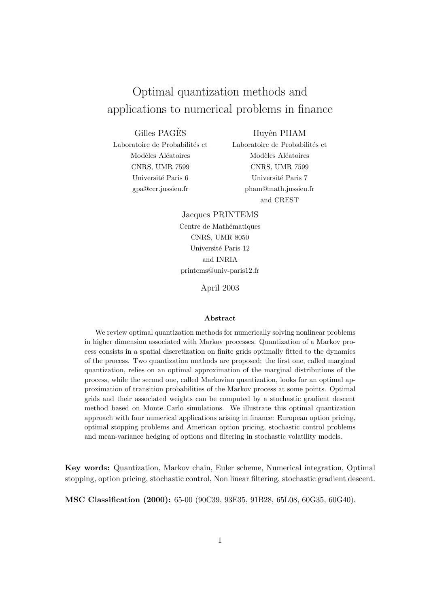# Optimal quantization methods and applications to numerical problems in finance

Gilles PAGES` Laboratoire de Probabilités et Modèles Aléatoires CNRS, UMR 7599 Université Paris 6 gpa@ccr.jussieu.fr

Huyên PHAM Laboratoire de Probabilités et Modèles Aléatoires CNRS, UMR 7599 Université Paris 7 pham@math.jussieu.fr and CREST

Jacques PRINTEMS Centre de Mathématiques CNRS, UMR 8050 Université Paris 12 and INRIA printems@univ-paris12.fr

April 2003

#### Abstract

We review optimal quantization methods for numerically solving nonlinear problems in higher dimension associated with Markov processes. Quantization of a Markov process consists in a spatial discretization on finite grids optimally fitted to the dynamics of the process. Two quantization methods are proposed: the first one, called marginal quantization, relies on an optimal approximation of the marginal distributions of the process, while the second one, called Markovian quantization, looks for an optimal approximation of transition probabilities of the Markov process at some points. Optimal grids and their associated weights can be computed by a stochastic gradient descent method based on Monte Carlo simulations. We illustrate this optimal quantization approach with four numerical applications arising in finance: European option pricing, optimal stopping problems and American option pricing, stochastic control problems and mean-variance hedging of options and filtering in stochastic volatility models.

Key words: Quantization, Markov chain, Euler scheme, Numerical integration, Optimal stopping, option pricing, stochastic control, Non linear filtering, stochastic gradient descent.

MSC Classification (2000): 65-00 (90C39, 93E35, 91B28, 65L08, 60G35, 60G40).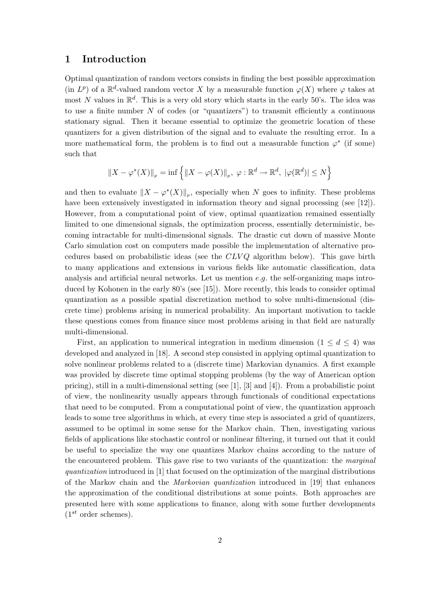# 1 Introduction

Optimal quantization of random vectors consists in finding the best possible approximation (in  $L^p$ ) of a  $\mathbb{R}^d$ -valued random vector X by a measurable function  $\varphi(X)$  where  $\varphi$  takes at most N values in  $\mathbb{R}^d$ . This is a very old story which starts in the early 50's. The idea was to use a finite number  $N$  of codes (or "quantizers") to transmit efficiently a continuous stationary signal. Then it became essential to optimize the geometric location of these quantizers for a given distribution of the signal and to evaluate the resulting error. In a more mathematical form, the problem is to find out a measurable function  $\varphi^*$  (if some) such that

$$
||X - \varphi^*(X)||_p = \inf \left\{ ||X - \varphi(X)||_p, \ \varphi : \mathbb{R}^d \to \mathbb{R}^d, \ |\varphi(\mathbb{R}^d)| \le N \right\}
$$

and then to evaluate  $||X - \varphi^*(X)||_p$ , especially when N goes to infinity. These problems have been extensively investigated in information theory and signal processing (see [12]). However, from a computational point of view, optimal quantization remained essentially limited to one dimensional signals, the optimization process, essentially deterministic, becoming intractable for multi-dimensional signals. The drastic cut down of massive Monte Carlo simulation cost on computers made possible the implementation of alternative procedures based on probabilistic ideas (see the  $CLVQ$  algorithm below). This gave birth to many applications and extensions in various fields like automatic classification, data analysis and artificial neural networks. Let us mention  $e.g.$  the self-organizing maps introduced by Kohonen in the early 80's (see [15]). More recently, this leads to consider optimal quantization as a possible spatial discretization method to solve multi-dimensional (discrete time) problems arising in numerical probability. An important motivation to tackle these questions comes from finance since most problems arising in that field are naturally multi-dimensional.

First, an application to numerical integration in medium dimension  $(1 \leq d \leq 4)$  was developed and analyzed in [18]. A second step consisted in applying optimal quantization to solve nonlinear problems related to a (discrete time) Markovian dynamics. A first example was provided by discrete time optimal stopping problems (by the way of American option pricing), still in a multi-dimensional setting (see [1], [3] and [4]). From a probabilistic point of view, the nonlinearity usually appears through functionals of conditional expectations that need to be computed. From a computational point of view, the quantization approach leads to some tree algorithms in which, at every time step is associated a grid of quantizers, assumed to be optimal in some sense for the Markov chain. Then, investigating various fields of applications like stochastic control or nonlinear filtering, it turned out that it could be useful to specialize the way one quantizes Markov chains according to the nature of the encountered problem. This gave rise to two variants of the quantization: the *marginal* quantization introduced in [1] that focused on the optimization of the marginal distributions of the Markov chain and the Markovian quantization introduced in [19] that enhances the approximation of the conditional distributions at some points. Both approaches are presented here with some applications to finance, along with some further developments  $(1^{st}$  order schemes).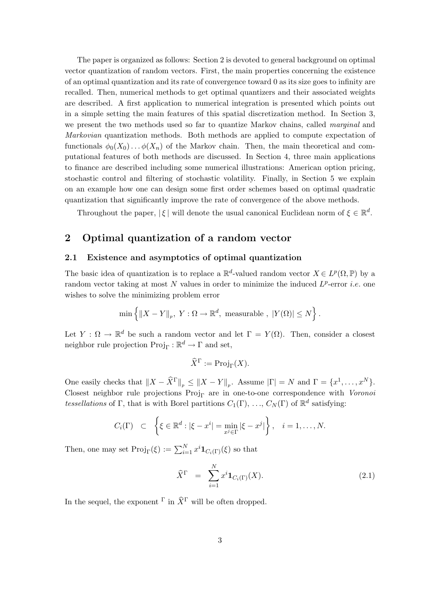The paper is organized as follows: Section 2 is devoted to general background on optimal vector quantization of random vectors. First, the main properties concerning the existence of an optimal quantization and its rate of convergence toward 0 as its size goes to infinity are recalled. Then, numerical methods to get optimal quantizers and their associated weights are described. A first application to numerical integration is presented which points out in a simple setting the main features of this spatial discretization method. In Section 3, we present the two methods used so far to quantize Markov chains, called *marginal* and Markovian quantization methods. Both methods are applied to compute expectation of functionals  $\phi_0(X_0) \dots \phi(X_n)$  of the Markov chain. Then, the main theoretical and computational features of both methods are discussed. In Section 4, three main applications to finance are described including some numerical illustrations: American option pricing, stochastic control and filtering of stochastic volatility. Finally, in Section 5 we explain on an example how one can design some first order schemes based on optimal quadratic quantization that significantly improve the rate of convergence of the above methods.

Throughout the paper,  $|\xi|$  will denote the usual canonical Euclidean norm of  $\xi \in \mathbb{R}^d$ .

# 2 Optimal quantization of a random vector

## 2.1 Existence and asymptotics of optimal quantization

The basic idea of quantization is to replace a  $\mathbb{R}^d$ -valued random vector  $X \in L^p(\Omega, \mathbb{P})$  by a random vector taking at most N values in order to minimize the induced  $L^p$ -error *i.e.* one wishes to solve the minimizing problem error

$$
\min \left\{ \|X - Y\|_p, \ Y : \Omega \to \mathbb{R}^d, \ \text{measurable} \ , \ |Y(\Omega)| \le N \right\}.
$$

Let  $Y : \Omega \to \mathbb{R}^d$  be such a random vector and let  $\Gamma = Y(\Omega)$ . Then, consider a closest neighbor rule projection  $\text{Proj}_{\Gamma} : \mathbb{R}^d \to \Gamma$  and set,

$$
\widehat{X}^{\Gamma} := \mathrm{Proj}_{\Gamma}(X).
$$

One easily checks that  $||X - \widehat{X}^{\Gamma}||_p \le ||X - Y||_p$ . Assume  $|\Gamma| = N$  and  $\Gamma = \{x^1, \ldots, x^N\}$ . Closest neighbor rule projections  $Proj_{\Gamma}$  are in one-to-one correspondence with Voronoi tessellations of Γ, that is with Borel partitions  $C_1(\Gamma), \ldots, C_N(\Gamma)$  of  $\mathbb{R}^d$  satisfying:

$$
C_i(\Gamma) \quad \subset \quad \left\{ \xi \in \mathbb{R}^d : |\xi - x^i| = \min_{x^j \in \Gamma} |\xi - x^j| \right\}, \quad i = 1, \ldots, N.
$$

Then, one may set  $\text{Proj}_{\Gamma}(\xi) := \sum_{i=1}^{N} x^{i} \mathbf{1}_{C_{i}(\Gamma)}(\xi)$  so that

$$
\widehat{X}^{\Gamma} = \sum_{i=1}^{N} x^{i} \mathbf{1}_{C_{i}(\Gamma)}(X). \tag{2.1}
$$

In the sequel, the exponent  $\Gamma$  in  $\widehat{X}^{\Gamma}$  will be often dropped.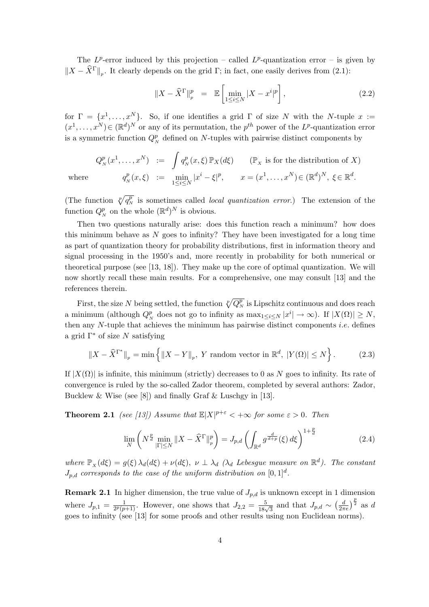The  $L^p$ -error induced by this projection – called  $L^p$ -quantization error – is given by  $||X - \hat{X}^{\Gamma}||_p$ . It clearly depends on the grid Γ; in fact, one easily derives from (2.1):

$$
||X - \widehat{X}^{\Gamma}||_p^p = \mathbb{E}\left[\min_{1 \le i \le N} |X - x^i|^p\right],\tag{2.2}
$$

for  $\Gamma = \{x^1, \ldots, x^N\}$ . So, if one identifies a grid  $\Gamma$  of size N with the N-tuple  $x :=$  $(x^1, \ldots, x^N) \in (\mathbb{R}^d)^N$  or any of its permutation, the  $p^{th}$  power of the L<sup>p</sup>-quantization error is a symmetric function  $Q_N^p$  defined on N-tuples with pairwise distinct components by

$$
Q_N^p(x^1, \dots, x^N) := \int q_N^p(x, \xi) \mathbb{P}_X(d\xi) \qquad (\mathbb{P}_X \text{ is for the distribution of } X)
$$
  
re
$$
q_N^p(x, \xi) := \min_{1 \le i \le N} |x^i - \xi|^p, \qquad x = (x^1, \dots, x^N) \in (\mathbb{R}^d)^N, \ \xi \in \mathbb{R}^d.
$$

where

(The function  $\sqrt[p]{q_N^p}$  is sometimes called *local quantization error*.) The extension of the function  $Q_N^p$  on the whole  $(\mathbb{R}^d)^N$  is obvious.

Then two questions naturally arise: does this function reach a minimum? how does this minimum behave as  $N$  goes to infinity? They have been investigated for a long time as part of quantization theory for probability distributions, first in information theory and signal processing in the 1950's and, more recently in probability for both numerical or theoretical purpose (see [13, 18]). They make up the core of optimal quantization. We will now shortly recall these main results. For a comprehensive, one may consult [13] and the references therein.

First, the size N being settled, the function  $\sqrt[p]{Q_N^p}$  is Lipschitz continuous and does reach a minimum (although  $Q_N^p$  does not go to infinity as  $\max_{1 \leq i \leq N} |x^i| \to \infty$ ). If  $|X(\Omega)| \geq N$ , then any  $N$ -tuple that achieves the minimum has pairwise distinct components *i.e.* defines a grid  $\Gamma^*$  of size N satisfying

$$
\|X - \widehat{X}^{\Gamma^*}\|_p = \min\left\{\|X - Y\|_p, \ Y \text{ random vector in } \mathbb{R}^d, \ |Y(\Omega)| \le N\right\}.
$$
 (2.3)

If  $|X(\Omega)|$  is infinite, this minimum (strictly) decreases to 0 as N goes to infinity. Its rate of convergence is ruled by the so-called Zador theorem, completed by several authors: Zador, Bucklew & Wise (see [8]) and finally Graf & Luschgy in [13].

**Theorem 2.1** (see [13]) Assume that  $\mathbb{E}|X|^{p+\varepsilon} < +\infty$  for some  $\varepsilon > 0$ . Then

$$
\lim_{N} \left( N^{\frac{p}{d}} \min_{|\Gamma| \le N} \|X - \widehat{X}^{\Gamma}\|_{p}^{p} \right) = J_{p,d} \left( \int_{\mathbb{R}^d} g^{\frac{d}{d+p}}(\xi) d\xi \right)^{1+\frac{p}{d}} \tag{2.4}
$$

where  $\mathbb{P}_X(d\xi) = g(\xi) \lambda_d(d\xi) + \nu(d\xi), \ \nu \perp \lambda_d$  ( $\lambda_d$  Lebesgue measure on  $\mathbb{R}^d$ ). The constant  $J_{p,d}$  corresponds to the case of the uniform distribution on  $[0,1]^d$ .

**Remark 2.1** In higher dimension, the true value of  $J_{p,d}$  is unknown except in 1 dimension where  $J_{p,1} = \frac{1}{2p(p)}$  $\frac{1}{2^p(p+1)}$ . However, one shows that  $J_{2,2} = \frac{5}{18\sqrt{3}}$  and that  $J_{p,d} \sim$  $\left(\frac{d}{2\pi e}\right)^{\frac{p}{2}}$  as d goes to infinity (see [13] for some proofs and other results using non Euclidean norms).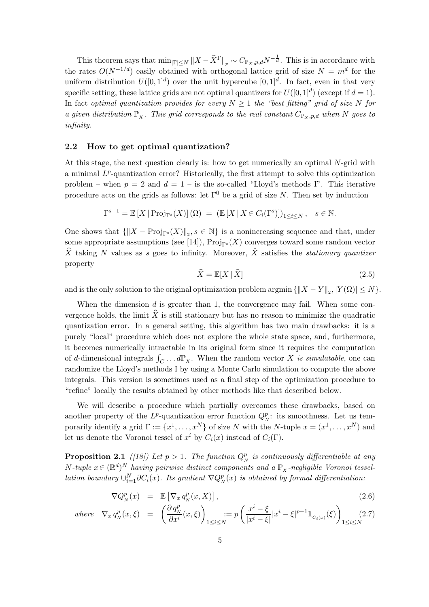This theorem says that  $\min_{|\Gamma| \le N} ||X - \widehat{X}^{\Gamma}||_p \sim C_{\mathbb{P}_X, p,d} N^{-\frac{1}{d}}$ . This is in accordance with the rates  $O(N^{-1/d})$  easily obtained with orthogonal lattice grid of size  $N = m^d$  for the uniform distribution  $U([0,1]^d)$  over the unit hypercube  $[0,1]^d$ . In fact, even in that very specific setting, these lattice grids are not optimal quantizers for  $U([0,1]^d)$  (except if  $d=1$ ). In fact optimal quantization provides for every  $N \geq 1$  the "best fitting" grid of size N for a given distribution  $\mathbb{P}_x$ . This grid corresponds to the real constant  $C_{\mathbb{P}_x,p,d}$  when N goes to infinity.

### 2.2 How to get optimal quantization?

At this stage, the next question clearly is: how to get numerically an optimal N-grid with a minimal  $L^p$ -quantization error? Historically, the first attempt to solve this optimization problem – when  $p = 2$  and  $d = 1$  – is the so-called "Lloyd's methods I". This iterative procedure acts on the grids as follows: let  $\Gamma^0$  be a grid of size N. Then set by induction

$$
\Gamma^{s+1} = \mathbb{E}\left[X \,|\, \text{Proj}_{\Gamma^s}(X)\right](\Omega) \ = \ \left(\mathbb{E}\left[X \,|\, X \in C_i(\Gamma^s)\right]\right)_{1 \le i \le N}, \quad s \in \mathbb{N}.
$$

One shows that  $\{\|X - \text{Proj}_{\Gamma^s}(X)\|_2, s \in \mathbb{N}\}\$ is a nonincreasing sequence and that, under some appropriate assumptions (see [14]),  $Proj_{\Gamma^s}(X)$  converges toward some random vector  $\hat{X}$  taking N values as s goes to infinity. Moreover,  $\hat{X}$  satisfies the stationary quantizer property

$$
\widehat{X} = \mathbb{E}[X \mid \widehat{X}] \tag{2.5}
$$

and is the only solution to the original optimization problem argmin  $\{\|X - Y\|_2, |Y(\Omega)| \le N\}$ .

When the dimension  $d$  is greater than 1, the convergence may fail. When some convergence holds, the limit  $\hat{X}$  is still stationary but has no reason to minimize the quadratic quantization error. In a general setting, this algorithm has two main drawbacks: it is a purely "local" procedure which does not explore the whole state space, and, furthermore, it becomes numerically intractable in its original form since it requires the computation of d-dimensional integrals  $\int_C \ldots d\mathbb{P}_x$ . When the random vector X is simulatable, one can randomize the Lloyd's methods I by using a Monte Carlo simulation to compute the above integrals. This version is sometimes used as a final step of the optimization procedure to "refine" locally the results obtained by other methods like that described below.

We will describe a procedure which partially overcomes these drawbacks, based on another property of the  $L^p$ -quantization error function  $Q_N^p$ : its smoothness. Let us temporarily identify a grid  $\Gamma := \{x^1, \ldots, x^N\}$  of size N with the N-tuple  $x = (x^1, \ldots, x^N)$  and let us denote the Voronoi tessel of  $x^i$  by  $C_i(x)$  instead of  $C_i(\Gamma)$ .

**Proposition 2.1** ([18]) Let  $p > 1$ . The function  $Q_N^p$  is continuously differentiable at any N-tuple  $x \in (\mathbb{R}^d)^N$  having pairwise distinct components and a  $\mathbb{P}_x$ -negligible Voronoi tessellation boundary  $\cup_{i=1}^N \partial C_i(x)$ . Its gradient  $\nabla Q_N^p(x)$  is obtained by formal differentiation:

$$
\nabla Q_N^p(x) = \mathbb{E}\left[\nabla_x q_N^p(x, X)\right],\tag{2.6}
$$

where 
$$
\nabla_x q_N^p(x,\xi) = \left(\frac{\partial q_N^p}{\partial x^i}(x,\xi)\right)_{1\leq i\leq N} := p\left(\frac{x^i-\xi}{|x^i-\xi|}|x^i-\xi|^{p-1}\mathbf{1}_{C_i(x)}(\xi)\right)_{1\leq i\leq N} (2.7)
$$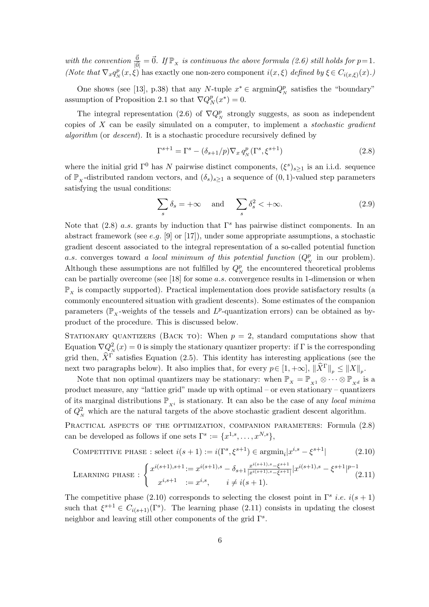with the convention  $\frac{\vec{0}}{|\vec{0}|} = \vec{0}$ . If  $\mathbb{P}_x$  is continuous the above formula (2.6) still holds for  $p=1$ . (Note that  $\nabla_x q_N^p(x,\xi)$  has exactly one non-zero component  $i(x,\xi)$  defined by  $\xi \in C_{i(x,\xi)}(x)$ .)

One shows (see [13], p.38) that any N-tuple  $x^* \in \text{argmin} Q_N^p$  satisfies the "boundary" assumption of Proposition 2.1 so that  $\nabla Q^p_{\lambda}$  $_{N}^{p}(x^{*})=0.$ 

The integral representation (2.6) of  $\nabla Q_N^p$  strongly suggests, as soon as independent copies of  $X$  can be easily simulated on a computer, to implement a *stochastic gradient algorithm* (or *descent*). It is a stochastic procedure recursively defined by

$$
\Gamma^{s+1} = \Gamma^s - (\delta_{s+1}/p)\nabla_x q_N^p(\Gamma^s, \xi^{s+1})
$$
\n(2.8)

where the initial grid  $\Gamma^0$  has N pairwise distinct components,  $(\xi^s)_{s\geq 1}$  is an i.i.d. sequence of  $\mathbb{P}_x$ -distributed random vectors, and  $(\delta_s)_{s\geq 1}$  a sequence of  $(0, 1)$ -valued step parameters satisfying the usual conditions:

$$
\sum_{s} \delta_s = +\infty \quad \text{and} \quad \sum_{s} \delta_s^2 < +\infty. \tag{2.9}
$$

Note that (2.8) a.s. grants by induction that  $\Gamma^s$  has pairwise distinct components. In an abstract framework (see e.g. [9] or [17]), under some appropriate assumptions, a stochastic gradient descent associated to the integral representation of a so-called potential function a.s. converges toward a local minimum of this potential function  $(Q_N^p)$  in our problem. Although these assumptions are not fulfilled by  $Q_N^p$  the encountered theoretical problems can be partially overcome (see [18] for some a.s. convergence results in 1-dimension or when  $\mathbb{P}_{\mathbf{x}}$  is compactly supported). Practical implementation does provide satisfactory results (a commonly encountered situation with gradient descents). Some estimates of the companion parameters ( $\mathbb{P}_x$ -weights of the tessels and  $L^p$ -quantization errors) can be obtained as byproduct of the procedure. This is discussed below.

STATIONARY QUANTIZERS (BACK TO): When  $p = 2$ , standard computations show that Equation  $\nabla Q_N^2(x) = 0$  is simply the stationary quantizer property: if  $\Gamma$  is the corresponding grid then,  $\hat{X}^{\hat{\Gamma}}$  satisfies Equation (2.5). This identity has interesting applications (see the next two paragraphs below). It also implies that, for every  $p \in [1, +\infty]$ ,  $\|\widehat{X}^{\Gamma}\|_p \leq \|X\|_p$ .

Note that non optimal quantizers may be stationary: when  $\mathbb{P}_X = \mathbb{P}_{X^1} \otimes \cdots \otimes \mathbb{P}_{X^d}$  is a product measure, any "lattice grid" made up with optimal – or even stationary – quantizers of its marginal distributions  $\mathbb{P}_{X_i}$  is stationary. It can also be the case of any *local minima* of  $Q_N^2$  which are the natural targets of the above stochastic gradient descent algorithm.

PRACTICAL ASPECTS OF THE OPTIMIZATION, COMPANION PARAMETERS: Formula  $(2.8)$ can be developed as follows if one sets  $\Gamma^s := \{x^{1,s}, \ldots, x^{N,s}\},\$ 

COMPETITIVE PHASE : select 
$$
i(s + 1) := i(\Gamma^s, \xi^{s+1}) \in \operatorname{argmin}_i |x^{i,s} - \xi^{s+1}|
$$
 (2.10)

$$
\text{LEARNING PHASE}: \begin{cases} x^{i(s+1),s+1} := x^{i(s+1),s} - \delta_{s+1} \frac{x^{i(s+1),s} - \xi^{s+1}}{|x^{i(s+1),s} - \xi^{s+1}|} |x^{i(s+1),s} - \xi^{s+1}|^{p-1} \\ x^{i,s+1} := x^{i,s}, \quad i \neq i(s+1). \end{cases} (2.11)
$$

The competitive phase (2.10) corresponds to selecting the closest point in  $\Gamma^s$  *i.e.*  $i(s + 1)$ such that  $\xi^{s+1} \in C_{i(s+1)}(\Gamma^s)$ . The learning phase (2.11) consists in updating the closest neighbor and leaving still other components of the grid  $\Gamma^s$ .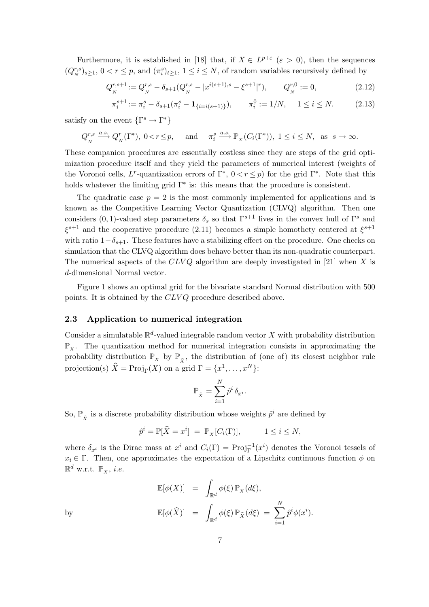Furthermore, it is established in [18] that, if  $X \in L^{p+\varepsilon}$  ( $\varepsilon > 0$ ), then the sequences  $(Q_N^{r,s})_{s\geq 1}, 0 < r \leq p$ , and  $(\pi_i^s)_{t\geq 1}, 1 \leq i \leq N$ , of random variables recursively defined by

$$
Q_N^{r,s+1} := Q_N^{r,s} - \delta_{s+1}(Q_N^{r,s} - |x^{i(s+1),s} - \xi^{s+1}|^r), \qquad Q_N^{r,0} := 0,
$$
\n(2.12)

$$
\pi_i^{s+1} := \pi_i^s - \delta_{s+1}(\pi_i^s - \mathbf{1}_{\{i = i(s+1)\}}), \qquad \pi_i^0 := 1/N, \quad 1 \le i \le N. \tag{2.13}
$$

satisfy on the event  $\{\Gamma^s \to \Gamma^*\}$ 

$$
Q_N^{r,s} \xrightarrow{a.s.} Q_N^r(\Gamma^*), 0 < r \le p
$$
, and  $\pi_i^s \xrightarrow{a.s.} \mathbb{P}_X(C_i(\Gamma^*)), 1 \le i \le N$ , as  $s \to \infty$ .

These companion procedures are essentially costless since they are steps of the grid optimization procedure itself and they yield the parameters of numerical interest (weights of the Voronoi cells, L<sup>r</sup>-quantization errors of  $\Gamma^*$ ,  $0 < r \leq p$ ) for the grid  $\Gamma^*$ . Note that this holds whatever the limiting grid  $\Gamma^*$  is: this means that the procedure is consistent.

The quadratic case  $p = 2$  is the most commonly implemented for applications and is known as the Competitive Learning Vector Quantization (CLVQ) algorithm. Then one considers (0, 1)-valued step parameters  $\delta_s$  so that  $\Gamma^{s+1}$  lives in the convex hull of  $\Gamma^s$  and  $\xi^{s+1}$  and the cooperative procedure (2.11) becomes a simple homothety centered at  $\xi^{s+1}$ with ratio  $1-\delta_{s+1}$ . These features have a stabilizing effect on the procedure. One checks on simulation that the CLVQ algorithm does behave better than its non-quadratic counterpart. The numerical aspects of the  $CLVQ$  algorithm are deeply investigated in [21] when X is d-dimensional Normal vector.

Figure 1 shows an optimal grid for the bivariate standard Normal distribution with 500 points. It is obtained by the CLVQ procedure described above.

## 2.3 Application to numerical integration

Consider a simulatable  $\mathbb{R}^d$ -valued integrable random vector X with probability distribution  $\mathbb{P}_x$ . The quantization method for numerical integration consists in approximating the probability distribution  $\mathbb{P}_X$  by  $\mathbb{P}_{\hat{X}}$ , the distribution of (one of) its closest neighbor rule projection(s)  $\widehat{X} = \text{Proj}_{\Gamma}(X)$  on a grid  $\Gamma = \{x^1, \ldots, x^N\}$ :

$$
\mathbb{P}_{\hat{x}} = \sum_{i=1}^{N} \hat{p}^i \, \delta_{x^i}.
$$

So,  $\mathbb{P}_{\hat{x}}$  is a discrete probability distribution whose weights  $\hat{p}^i$  are defined by

$$
\hat{p}^i = \mathbb{P}[\widehat{X} = x^i] = \mathbb{P}_X[C_i(\Gamma)], \qquad 1 \le i \le N,
$$

where  $\delta_{x^i}$  is the Dirac mass at  $x^i$  and  $C_i(\Gamma) = \text{Proj}_{\Gamma}^{-1}(x^i)$  denotes the Voronoi tessels of  $x_i \in \Gamma$ . Then, one approximates the expectation of a Lipschitz continuous function  $\phi$  on  $\mathbb{R}^d$  w.r.t.  $\mathbb{P}_x$ , *i.e.* 

$$
\mathbb{E}[\phi(X)] = \int_{\mathbb{R}^d} \phi(\xi) \mathbb{P}_X(d\xi),
$$
  
by  

$$
\mathbb{E}[\phi(\widehat{X})] = \int_{\mathbb{R}^d} \phi(\xi) \mathbb{P}_{\widehat{X}}(d\xi) = \sum_{i=1}^N \widehat{p}^i \phi(x^i).
$$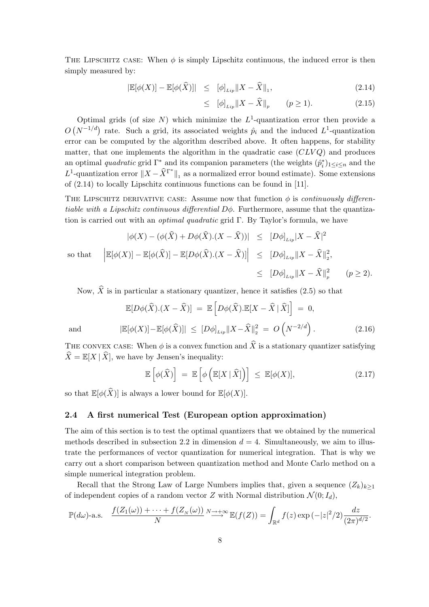THE LIPSCHITZ CASE: When  $\phi$  is simply Lipschitz continuous, the induced error is then simply measured by:

$$
|\mathbb{E}[\phi(X)] - \mathbb{E}[\phi(\widehat{X})]| \leq [\phi]_{Lip} ||X - \widehat{X}||_1, \tag{2.14}
$$

$$
\leq \ |\phi|_{Lip} \|X - \widehat{X}\|_{p} \qquad (p \geq 1). \tag{2.15}
$$

Optimal grids (of size N) which minimize the  $L^1$ -quantization error then provide a  $\overline{O}$ Optimal grids (or size *iv*) which imminize the *L* -quantization error then provide a  $(N^{-1/d})$  rate. Such a grid, its associated weights  $\hat{p}_i$  and the induced  $L^1$ -quantization error can be computed by the algorithm described above. It often happens, for stability matter, that one implements the algorithm in the quadratic case  $(CLVQ)$  and produces an optimal *quadratic* grid  $\Gamma^*$  and its companion parameters (the weights  $(\hat{p}_i^*)_{1 \leq i \leq n}$  and the L<sup>1</sup>-quantization error  $||X - \hat{X}^{\Gamma^*}||_1$  as a normalized error bound estimate). Some extensions of (2.14) to locally Lipschitz continuous functions can be found in [11].

THE LIPSCHITZ DERIVATIVE CASE: Assume now that function  $\phi$  is *continuously differen*tiable with a Lipschitz continuous differential  $D\phi$ . Furthermore, assume that the quantization is carried out with an *optimal quadratic* grid  $\Gamma$ . By Taylor's formula, we have

$$
|\phi(X) - (\phi(\widehat{X}) + D\phi(\widehat{X}).(X - \widehat{X}))| \leq [D\phi]_{Lip}|X - \widehat{X}|^2
$$
  
so that 
$$
\left| \mathbb{E}[\phi(X)] - \mathbb{E}[\phi(\widehat{X})] - \mathbb{E}[D\phi(\widehat{X}).(X - \widehat{X})] \right| \leq [D\phi]_{Lip}||X - \widehat{X}||_2^2,
$$

$$
\leq [D\phi]_{Lip}||X - \widehat{X}||_p^2 \qquad (p \geq 2).
$$

Now,  $\hat{X}$  is in particular a stationary quantizer, hence it satisfies (2.5) so that

$$
\mathbb{E}[D\phi(\widehat{X})\cdot(X-\widehat{X})] = \mathbb{E}\left[D\phi(\widehat{X})\cdot\mathbb{E}[X-\widehat{X}|\widehat{X}]\right] = 0,
$$
  
and  

$$
|\mathbb{E}[\phi(X)] - \mathbb{E}[\phi(\widehat{X})]| \leq [D\phi]_{Lip}||X-\widehat{X}||_2^2 = O\left(N^{-2/d}\right).
$$
 (2.16)

THE CONVEX CASE: When  $\phi$  is a convex function and  $\hat{X}$  is a stationary quantizer satisfying  $\widehat{X} = \mathbb{E}[X | \widehat{X}]$ , we have by Jensen's inequality:

$$
\mathbb{E}\left[\phi(\widehat{X})\right] = \mathbb{E}\left[\phi\left(\mathbb{E}[X \mid \widehat{X}]\right)\right] \leq \mathbb{E}[\phi(X)],\tag{2.17}
$$

so that  $\mathbb{E}[\phi(\widehat{X})]$  is always a lower bound for  $\mathbb{E}[\phi(X)]$ .

## 2.4 A first numerical Test (European option approximation)

The aim of this section is to test the optimal quantizers that we obtained by the numerical methods described in subsection 2.2 in dimension  $d = 4$ . Simultaneously, we aim to illustrate the performances of vector quantization for numerical integration. That is why we carry out a short comparison between quantization method and Monte Carlo method on a simple numerical integration problem.

Recall that the Strong Law of Large Numbers implies that, given a sequence  $(Z_k)_{k\geq 1}$ of independent copies of a random vector Z with Normal distribution  $\mathcal{N}(0; I_d)$ ,

$$
\mathbb{P}(d\omega)\text{-a.s.}\quad \frac{f(Z_1(\omega))+\cdots+f(Z_N(\omega))}{N}\stackrel{N\to+\infty}{\longrightarrow}\mathbb{E}(f(Z))=\int_{\mathbb{R}^d}f(z)\exp(-|z|^2/2)\frac{dz}{(2\pi)^{d/2}}.
$$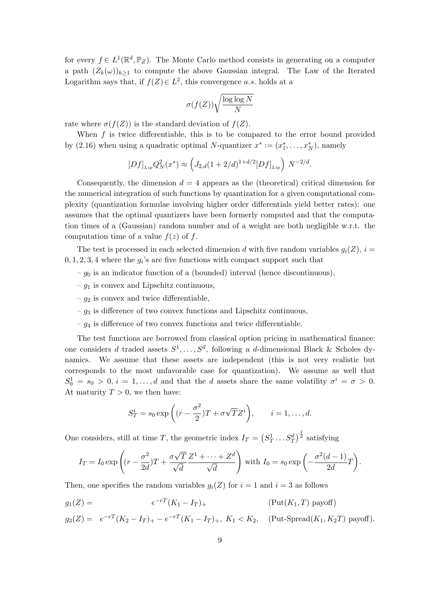for every  $f \in L^1(\mathbb{R}^d, \mathbb{P}_Z)$ . The Monte Carlo method consists in generating on a computer a path  $(Z_k(\omega))_{k\geq 1}$  to compute the above Gaussian integral. The Law of the Iterated Logarithm says that, if  $f(Z) \in L^2$ , this convergence a.s. holds at a

$$
\sigma(f(Z))\sqrt{\frac{\log\log N}{N}}
$$

rate where  $\sigma(f(Z))$  is the standard deviation of  $f(Z)$ .

When  $f$  is twice differentiable, this is to be compared to the error bound provided by (2.16) when using a quadratic optimal N-quantizer  $x^* := (x_1^*, \ldots, x_N^*)$ , namely

$$
[Df]_{Lip}Q_N^2(x^*) \approx \left(J_{2,d}(1+2/d)^{1+d/2}[Df]_{Lip}\right) N^{-2/d}.
$$

Consequently, the dimension  $d = 4$  appears as the (theoretical) critical dimension for the numerical integration of such functions by quantization for a given computational complexity (quantization formulae involving higher order differentials yield better rates): one assumes that the optimal quantizers have been formerly computed and that the computation times of a (Gaussian) random number and of a weight are both negligible w.r.t. the computation time of a value  $f(z)$  of f.

The test is processed in each selected dimension d with five random variables  $q_i(Z)$ ,  $i =$  $0, 1, 2, 3, 4$  where the  $g_i$ 's are five functions with compact support such that

- $-g<sub>0</sub>$  is an indicator function of a (bounded) interval (hence discontinuous),
- $-g_1$  is convex and Lipschitz continuous,
- $q_2$  is convex and twice differentiable,
- $-g_3$  is difference of two convex functions and Lipschitz continuous,
- $-g_4$  is difference of two convex functions and twice differentiable.

The test functions are borrowed from classical option pricing in mathematical finance: one considers d traded assets  $S^1, \ldots, S^d$ , following a d-dimensional Black & Scholes dynamics. We assume that these assets are independent (this is not very realistic but corresponds to the most unfavorable case for quantization). We assume as well that  $S_0^1 = s_0 > 0, i = 1, \ldots, d$  and that the d assets share the same volatility  $\sigma^i = \sigma > 0$ . At maturity  $T > 0$ , we then have:

$$
S_T^i = s_0 \exp\left((r - \frac{\sigma^2}{2})T + \sigma\sqrt{T}Z^i\right), \qquad i = 1, \dots, d.
$$

One considers, still at time T, the geometric index  $I_T =$ ¡  $S_T^1 \dots S_T^d$  $\frac{1}{2}$  $\overline{d}$  satisfying

$$
I_T = I_0 \exp\left((r - \frac{\sigma^2}{2d})T + \frac{\sigma\sqrt{T}}{\sqrt{d}}\frac{Z^1 + \dots + Z^d}{\sqrt{d}}\right)
$$
 with  $I_0 = s_0 \exp\left(-\frac{\sigma^2(d-1)}{2d}T\right)$ .

Then, one specifies the random variables  $q_i(Z)$  for  $i = 1$  and  $i = 3$  as follows

$$
g_1(Z) = e^{-rT}(K_1 - I_T)
$$
 (Put $(K_1, T)$  payoff)

 $g_3(Z) = e^{-rT}(K_2 - I_T)_+ - e^{-rT}(K_1 - I_T)_+, K_1 < K_2$ , (Put-Spread( $K_1, K_2T$ ) payoff).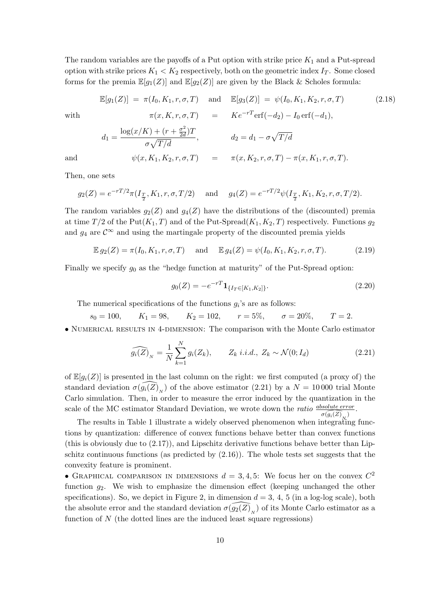The random variables are the payoffs of a Put option with strike price  $K_1$  and a Put-spread option with strike prices  $K_1 < K_2$  respectively, both on the geometric index  $I_T$ . Some closed forms for the premia  $\mathbb{E}[g_1(Z)]$  and  $\mathbb{E}[g_2(Z)]$  are given by the Black & Scholes formula:

$$
\mathbb{E}[g_1(Z)] = \pi(I_0, K_1, r, \sigma, T) \quad \text{and} \quad \mathbb{E}[g_3(Z)] = \psi(I_0, K_1, K_2, r, \sigma, T) \tag{2.18}
$$
\nwith\n
$$
\pi(x, K, r, \sigma, T) = K e^{-rT} \text{erf}(-d_2) - I_0 \text{erf}(-d_1),
$$
\n
$$
d_1 = \frac{\log(x/K) + (r + \frac{\sigma^2}{2d})T}{\sigma\sqrt{T/d}}, \qquad d_2 = d_1 - \sigma\sqrt{T/d}
$$
\nand\n
$$
\psi(x, K_1, K_2, r, \sigma, T) = \pi(x, K_2, r, \sigma, T) - \pi(x, K_1, r, \sigma, T).
$$
\n(2.18)

Then, one sets

$$
g_2(Z) = e^{-rT/2}\pi(I_{\frac{T}{2}}, K_1, r, \sigma, T/2)
$$
 and  $g_4(Z) = e^{-rT/2}\psi(I_{\frac{T}{2}}, K_1, K_2, r, \sigma, T/2).$ 

The random variables  $g_2(Z)$  and  $g_4(Z)$  have the distributions of the (discounted) premia at time  $T/2$  of the Put( $K_1, T$ ) and of the Put-Spread( $K_1, K_2, T$ ) respectively. Functions  $g_2$ and  $g_4$  are  $\mathcal{C}^{\infty}$  and using the martingale property of the discounted premia yields

$$
\mathbb{E} g_2(Z) = \pi(I_0, K_1, r, \sigma, T) \quad \text{and} \quad \mathbb{E} g_4(Z) = \psi(I_0, K_1, K_2, r, \sigma, T). \tag{2.19}
$$

Finally we specify  $g_0$  as the "hedge function at maturity" of the Put-Spread option:

$$
g_0(Z) = -e^{-rT} \mathbf{1}_{\{I_T \in [K_1, K_2]\}}.
$$
\n(2.20)

The numerical specifications of the functions  $g_i$ 's are as follows:

 $s_0 = 100,$   $K_1 = 98,$   $K_2 = 102,$   $r = 5\%,$   $\sigma = 20\%,$   $T = 2.$ • NUMERICAL RESULTS IN 4-DIMENSION: The comparison with the Monte Carlo estimator

$$
\widehat{g_i(Z)}_N = \frac{1}{N} \sum_{k=1}^N g_i(Z_k), \qquad Z_k \ i.i.d., \ Z_k \sim \mathcal{N}(0; I_d)
$$
\n(2.21)

of  $\mathbb{E}[g_i(Z)]$  is presented in the last column on the right: we first computed (a proxy of) the standard deviation  $\sigma(\widehat{g_i(Z)}_N)$  of the above estimator (2.21) by a  $N = 10000$  trial Monte Carlo simulation. Then, in order to measure the error induced by the quantization in the scale of the MC estimator Standard Deviation, we wrote down the *ratio*  $\overbrace{dsolute error}$ .  $\sigma(\widehat{g_i(Z)}_{\scriptscriptstyle \mathcal{M}})$ 

The results in Table 1 illustrate a widely observed phenomenon when integrating functions by quantization: difference of convex functions behave better than convex functions (this is obviously due to  $(2.17)$ ), and Lipschitz derivative functions behave better than Lipschitz continuous functions (as predicted by  $(2.16)$ ). The whole tests set suggests that the convexity feature is prominent.

• GRAPHICAL COMPARISON IN DIMENSIONS  $d = 3, 4, 5$ : We focus her on the convex  $C^2$ function  $q_2$ . We wish to emphasize the dimension effect (keeping unchanged the other specifications). So, we depict in Figure 2, in dimension  $d = 3, 4, 5$  (in a log-log scale), both the absolute error and the standard deviation  $\widehat{\sigma(Q_2(Z)}_{N})$  of its Monte Carlo estimator as a function of  $N$  (the dotted lines are the induced least square regressions)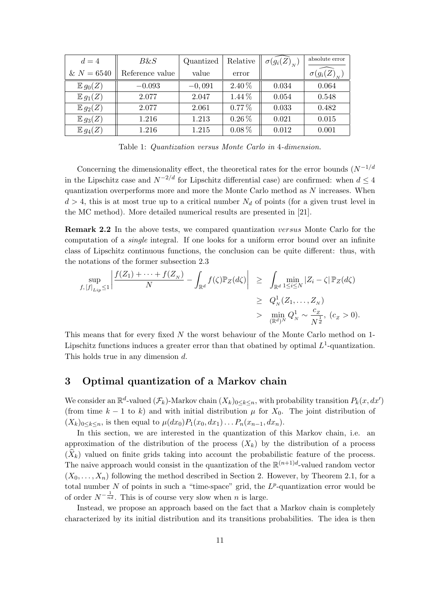| $d=4$               | $B\&S$          | Quantized | Relative   | $\sigma(g_i(Z)_{N})$ | absolute error       |
|---------------------|-----------------|-----------|------------|----------------------|----------------------|
| $& N = 6540$        | Reference value | value     | error      |                      | $\sigma(g_i(Z)_{N})$ |
| $E g_0(Z)$          | $-0.093$        | $-0,091$  | $2.40\%$   | 0.034                | 0.064                |
| $\mathbb{E} g_1(Z)$ | 2.077           | 2.047     | $1.44\%$   | 0.054                | 0.548                |
| $E g_2(Z)$          | 2.077           | 2.061     | $0.77\%$   | 0.033                | 0.482                |
| $E g_3(Z)$          | 1.216           | 1.213     | $0.26\,\%$ | 0.021                | 0.015                |
| $\mathbb{E} g_4(Z)$ | 1.216           | 1.215     | $0.08\%$   | 0.012                | 0.001                |

Table 1: Quantization versus Monte Carlo in 4-dimension.

Concerning the dimensionality effect, the theoretical rates for the error bounds  $(N^{-1/d})$ in the Lipschitz case and  $N^{-2/d}$  for Lipschitz differential case) are confirmed: when  $d \leq 4$ quantization overperforms more and more the Monte Carlo method as  $N$  increases. When  $d > 4$ , this is at most true up to a critical number  $N_d$  of points (for a given trust level in the MC method). More detailed numerical results are presented in [21].

Remark 2.2 In the above tests, we compared quantization versus Monte Carlo for the computation of a single integral. If one looks for a uniform error bound over an infinite class of Lipschitz continuous functions, the conclusion can be quite different: thus, with the notations of the former subsection 2.3  $\overline{a}$  $\overline{a}$ 

$$
\sup_{f,[f]_{Lip}\leq 1} \left| \frac{f(Z_1)+\cdots+f(Z_N)}{N} - \int_{\mathbb{R}^d} f(\zeta) \mathbb{P}_Z(d\zeta) \right| \geq \int_{\mathbb{R}^d} \min_{1\leq i\leq N} |Z_i-\zeta| \mathbb{P}_Z(d\zeta)
$$
  
\n
$$
\geq Q_N^1(Z_1,\ldots,Z_N)
$$
  
\n
$$
> \min_{(\mathbb{R}^d)^N} Q_N^1 \sim \frac{c_Z}{N^{\frac{1}{d}}}, \ (c_Z > 0).
$$

This means that for every fixed N the worst behaviour of the Monte Carlo method on 1- Lipschitz functions induces a greater error than that obatined by optimal  $L^1$ -quantization. This holds true in any dimension d.

## 3 Optimal quantization of a Markov chain

We consider an  $\mathbb{R}^d$ -valued  $(\mathcal{F}_k)$ -Markov chain  $(X_k)_{0\leq k\leq n}$ , with probability transition  $P_k(x, dx')$ (from time  $k - 1$  to k) and with initial distribution  $\mu$  for  $X_0$ . The joint distribution of  $(X_k)_{0\leq k\leq n}$ , is then equal to  $\mu(dx_0)P_1(x_0, dx_1)\dots P_n(x_{n-1}, dx_n)$ .

In this section, we are interested in the quantization of this Markov chain, i.e. an approximation of the distribution of the process  $(X_k)$  by the distribution of a process  $(\widehat{X}_k)$  valued on finite grids taking into account the probabilistic feature of the process. The naive approach would consist in the quantization of the  $\mathbb{R}^{(n+1)d}$ -valued random vector  $(X_0, \ldots, X_n)$  following the method described in Section 2. However, by Theorem 2.1, for a total number N of points in such a "time-space" grid, the  $L^p$ -quantization error would be of order  $N^{-\frac{1}{nd}}$ . This is of course very slow when *n* is large.

Instead, we propose an approach based on the fact that a Markov chain is completely characterized by its initial distribution and its transitions probabilities. The idea is then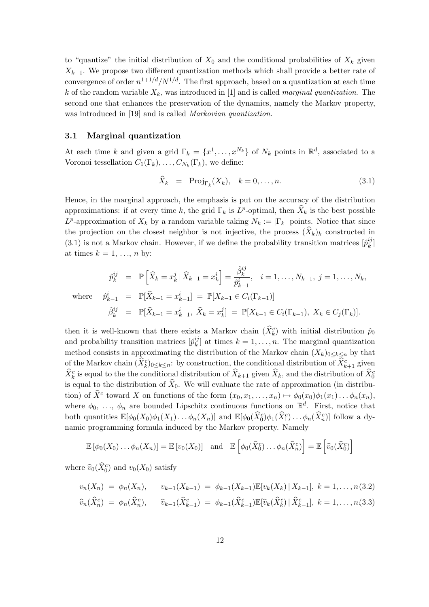to "quantize" the initial distribution of  $X_0$  and the conditional probabilities of  $X_k$  given  $X_{k-1}$ . We propose two different quantization methods which shall provide a better rate of convergence of order  $n^{1+1/d}/N^{1/d}$ . The first approach, based on a quantization at each time k of the random variable  $X_k$ , was introduced in [1] and is called *marginal quantization*. The second one that enhances the preservation of the dynamics, namely the Markov property, was introduced in [19] and is called Markovian quantization.

#### 3.1 Marginal quantization

At each time k and given a grid  $\Gamma_k = \{x^1, \ldots, x^{N_k}\}\$  of  $N_k$  points in  $\mathbb{R}^d$ , associated to a Voronoi tessellation  $C_1(\Gamma_k), \ldots, C_{N_k}(\Gamma_k)$ , we define:

$$
\widehat{X}_k = \text{Proj}_{\Gamma_k}(X_k), \quad k = 0, \dots, n. \tag{3.1}
$$

Hence, in the marginal approach, the emphasis is put on the accuracy of the distribution approximations: if at every time k, the grid  $\Gamma_k$  is  $L^p$ -optimal, then  $\widehat{X}_k$  is the best possible  $L^p$ -approximation of  $X_k$  by a random variable taking  $N_k := |\Gamma_k|$  points. Notice that since the projection on the closest neighbor is not injective, the process  $(\widehat{X}_k)_k$  constructed in  $(3.1)$  is not a Markov chain. However, if we define the probability transition matrices  $\left[\hat{p}_{k}^{ij}\right]$  $_{k}^{\imath\jmath}]$ at times  $k = 1, \ldots, n$  by:

$$
\hat{p}_{k}^{ij} = \mathbb{P}\left[\hat{X}_{k} = x_{k}^{j} \mid \hat{X}_{k-1} = x_{k}^{i}\right] = \frac{\hat{\beta}_{k}^{ij}}{\hat{p}_{k-1}^{i}}, \quad i = 1, \dots, N_{k-1}, \ j = 1, \dots, N_{k},
$$
\n
$$
\text{where} \quad \hat{p}_{k-1}^{i} = \mathbb{P}[\hat{X}_{k-1} = x_{k-1}^{i}] = \mathbb{P}[X_{k-1} \in C_{i}(\Gamma_{k-1})]
$$
\n
$$
\hat{\beta}_{k}^{ij} = \mathbb{P}[\hat{X}_{k-1} = x_{k-1}^{i}, \ \hat{X}_{k} = x_{k}^{j}] = \mathbb{P}[X_{k-1} \in C_{i}(\Gamma_{k-1}), \ X_{k} \in C_{j}(\Gamma_{k})].
$$

then it is well-known that there exists a Markov chain  $(\widehat{X}_{k}^{c})$  with initial distribution  $\widehat{p}_0$ and probability transition matrices  $[\hat{p}_{k}^{ij}]$  $\binom{y}{k}$  at times  $k = 1, \ldots, n$ . The marginal quantization method consists in approximating the distribution of the Markov chain  $(X_k)_{0\leq k\leq n}$  by that of the Markov chain  $(\widehat{X}_{k}^c)_{0 \leq k \leq n}$ : by construction, the conditional distribution of  $\widehat{X}_{k+1}^c$  given  $\widehat{X}_k^c$  is equal to the the conditional distribution of  $\widehat{X}_{k+1}$  given  $\widehat{X}_k$ , and the distribution of  $\widehat{X}_0^c$ is equal to the distribution of  $\widehat{X}_0$ . We will evaluate the rate of approximation (in distribution) of  $\widehat{X}^c$  toward X on functions of the form  $(x_0, x_1, \ldots, x_n) \mapsto \phi_0(x_0)\phi_1(x_1)\ldots\phi_n(x_n)$ , where  $\phi_0, \ldots, \phi_n$  are bounded Lipschitz continuous functions on  $\mathbb{R}^d$ . First, notice that both quantities  $\mathbb{E}[\phi_0(X_0)\phi_1(X_1)\dots\phi_n(X_n)]$  and  $\mathbb{E}[\phi_0(\widehat{X}_0^c)\phi_1(\widehat{X}_1^c)\dots\phi_n(\widehat{X}_n^c)]$  follow a dynamic programming formula induced by the Markov property. Namely

$$
\mathbb{E}[\phi_0(X_0)\dots\phi_n(X_n)] = \mathbb{E}[v_0(X_0)] \text{ and } \mathbb{E}[\phi_0(\widehat{X}_0^c)\dots\phi_n(\widehat{X}_n^c)] = \mathbb{E}[\widehat{v}_0(\widehat{X}_0^c)]
$$

where  $\widehat{v}_0(\widehat{X}_0^c)$  and  $v_0(X_0)$  satisfy

$$
v_n(X_n) = \phi_n(X_n), \qquad v_{k-1}(X_{k-1}) = \phi_{k-1}(X_{k-1}) \mathbb{E}[v_k(X_k) | X_{k-1}], \ k = 1, ..., n(3.2)
$$
  

$$
\widehat{v}_n(\widehat{X}_n^c) = \phi_n(\widehat{X}_n^c), \qquad \widehat{v}_{k-1}(\widehat{X}_{k-1}^c) = \phi_{k-1}(\widehat{X}_{k-1}^c) \mathbb{E}[\widehat{v}_k(\widehat{X}_k^c) | \widehat{X}_{k-1}^c], \ k = 1, ..., n(3.3)
$$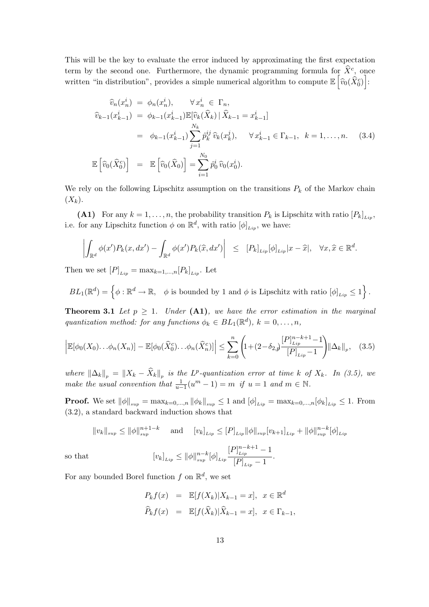This will be the key to evaluate the error induced by approximating the first expectation term by the second one. Furthermore, the dynamic programming formula for  $\hat{X}^c$ , once written "in distribution", provides a simple numerical algorithm to compute  $\mathbb{E} \left| \widehat{v}_0(\widehat{X}_0^c) \right|$ :

$$
\widehat{v}_{n}(x_{n}^{i}) = \phi_{n}(x_{n}^{i}), \qquad \forall x_{n}^{i} \in \Gamma_{n},
$$
\n
$$
\widehat{v}_{k-1}(x_{k-1}^{i}) = \phi_{k-1}(x_{k-1}^{i}) \mathbb{E}[\widehat{v}_{k}(\widehat{X}_{k}) | \widehat{X}_{k-1} = x_{k-1}^{i}]
$$
\n
$$
= \phi_{k-1}(x_{k-1}^{i}) \sum_{j=1}^{N_{k}} \widehat{p}_{k}^{ij} \widehat{v}_{k}(x_{k}^{j}), \qquad \forall x_{k-1}^{i} \in \Gamma_{k-1}, \quad k = 1, ..., n. \tag{3.4}
$$
\n
$$
\mathbb{E}\left[\widehat{v}_{0}(\widehat{X}_{0}^{c})\right] = \mathbb{E}\left[\widehat{v}_{0}(\widehat{X}_{0})\right] = \sum_{i=1}^{N_{0}} \widehat{p}_{0}^{i} \widehat{v}_{0}(x_{0}^{i}).
$$

We rely on the following Lipschitz assumption on the transitions  $P_k$  of the Markov chain  $(X_k).$ 

(A1) For any  $k = 1, \ldots, n$ , the probability transition  $P_k$  is Lipschitz with ratio  $[P_k]_{\ldots}$ , i.e. for any Lipschitz function  $\phi$  on  $\mathbb{R}^d$ , with ratio  $[\phi]_{Lip}$ , we have:

$$
\left| \int_{\mathbb{R}^d} \phi(x') P_k(x, dx') - \int_{\mathbb{R}^d} \phi(x') P_k(\widehat{x}, dx') \right| \leq [P_k]_{Lip} [\phi]_{Lip} |x - \widehat{x}|, \quad \forall x, \widehat{x} \in \mathbb{R}^d.
$$

Then we set  $[P]_{\text{Lip}} = \max_{k=1,\dots,n} [P_k]_{\text{Lip}}$ . Let

 $BL_1(\mathbb{R}^d) = \left\{ \phi : \mathbb{R}^d \to \mathbb{R}, \quad \phi \text{ is bounded by } 1 \text{ and } \phi \text{ is Lipschitz with ratio } [\phi]_{Lip} \leq 1 \right\}$ o .

**Theorem 3.1** Let  $p \geq 1$ . Under (A1), we have the error estimation in the marginal quantization method: for any functions  $\phi_k \in BL_1(\mathbb{R}^d)$ ,  $k = 0, \ldots, n$ ,

$$
\left| \mathbb{E}[\phi_0(X_0) \dots \phi_n(X_n)] - \mathbb{E}[\phi_0(\widehat{X}_0^c) \dots \phi_n(\widehat{X}_n^c)] \right| \le \sum_{k=0}^n \left( 1 + (2 - \delta_{2,\mathcal{Y}}) \frac{[P]_{Lip}^{n-k+1} - 1}{[P]_{Lip} - 1} \right) \|\Delta_k\|_p, \quad (3.5)
$$

where  $\|\Delta_k\|_p = \|X_k - \widehat{X}_k\|_p$  is the L<sup>p</sup>-quantization error at time k of  $X_k$ . In (3.5), we make the usual convention that  $\frac{1}{u-1}(u^m-1) = m$  if  $u = 1$  and  $m \in \mathbb{N}$ .

**Proof.** We set  $\|\phi\|_{sup} = \max_{k=0,...,n} \|\phi_k\|_{sup} \le 1$  and  $[\phi]_{Lip} = \max_{k=0,...,n} [\phi_k]_{Lip} \le 1$ . From (3.2), a standard backward induction shows that

$$
||v_k||_{sup} \le ||\phi||_{sup}^{n+1-k} \quad \text{and} \quad [v_k]_{Lip} \le [P]_{Lip} ||\phi||_{sup} [v_{k+1}]_{Lip} + ||\phi||_{sup}^{n-k} [\phi]_{Lip}
$$

$$
[v_k]_{Lip} \le ||\phi||_{sup}^{n-k} [\phi]_{Lip} \frac{[P]_{Lip}^{n-k+1} - 1}{[P]_{Lip} - 1}.
$$

For any bounded Borel function  $f$  on  $\mathbb{R}^d$ , we set

so that

$$
P_k f(x) = \mathbb{E}[f(X_k)|X_{k-1} = x], \quad x \in \mathbb{R}^d
$$
  

$$
\widehat{P}_k f(x) = \mathbb{E}[f(\widehat{X}_k)|\widehat{X}_{k-1} = x], \quad x \in \Gamma_{k-1},
$$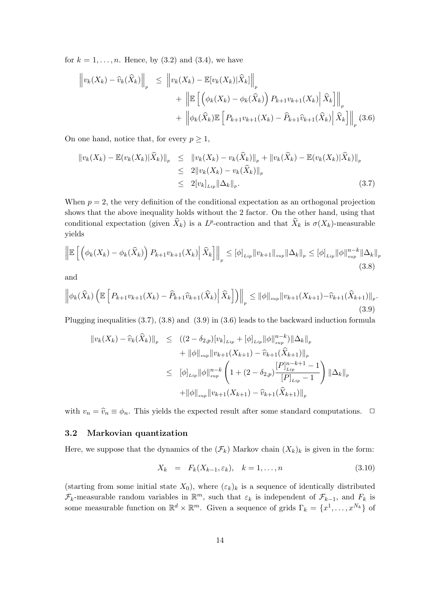for  $k = 1, \ldots, n$ . Hence, by  $(3.2)$  and  $(3.4)$ , we have

$$
\left\| v_k(X_k) - \widehat{v}_k(\widehat{X}_k) \right\|_p \le \left\| v_k(X_k) - \mathbb{E}[v_k(X_k)|\widehat{X}_k] \right\|_p
$$
  
+ 
$$
\left\| \mathbb{E}\left[ \left( \phi_k(X_k) - \phi_k(\widehat{X}_k) \right) P_{k+1} v_{k+1}(X_k) \right] \widehat{X}_k \right] \right\|_p
$$
  
+ 
$$
\left\| \phi_k(\widehat{X}_k) \mathbb{E}\left[ P_{k+1} v_{k+1}(X_k) - \widehat{P}_{k+1} \widehat{v}_{k+1}(\widehat{X}_k) \right] \widehat{X}_k \right] \right\|_p (3.6)
$$

On one hand, notice that, for every  $p \geq 1$ ,

$$
\|v_k(X_k) - \mathbb{E}(v_k(X_k)|\widehat{X}_k)\|_p \leq \|v_k(X_k) - v_k(\widehat{X}_k)\|_p + \|v_k(\widehat{X}_k) - \mathbb{E}(v_k(X_k)|\widehat{X}_k)\|_p
$$
  
\n
$$
\leq 2\|v_k(X_k) - v_k(\widehat{X}_k)\|_p
$$
  
\n
$$
\leq 2[v_k]_{Lip} \|\Delta_k\|_p.
$$
\n(3.7)

When  $p = 2$ , the very definition of the conditional expectation as an orthogonal projection shows that the above inequality holds without the 2 factor. On the other hand, using that conditional expectation (given  $\widehat{X}_k$ ) is a L<sup>p</sup>-contraction and that  $\widehat{X}_k$  is  $\sigma(X_k)$ -measurable yields

$$
\left\| \mathbb{E} \left[ \left( \phi_k(X_k) - \phi_k(\widehat{X}_k) \right) P_{k+1} v_{k+1}(X_k) \middle| \widehat{X}_k \right] \right\|_p \leq [\phi]_{Lip} \| v_{k+1} \|_{sup} \| \Delta_k \|_p \leq [\phi]_{Lip} \| \phi \|_{sup}^{n-k} \| \Delta_k \|_p
$$
\n(3.8)

and

$$
\left\| \phi_k(\widehat{X}_k) \left( \mathbb{E} \left[ P_{k+1} v_{k+1}(X_k) - \widehat{P}_{k+1} \widehat{v}_{k+1}(\widehat{X}_k) \Big| \widehat{X}_k \right] \right) \right\|_p \leq \| \phi \|_{\sup} \| v_{k+1}(X_{k+1}) - \widehat{v}_{k+1}(\widehat{X}_{k+1}) \|_p. \tag{3.9}
$$

Plugging inequalities (3.7), (3.8) and (3.9) in (3.6) leads to the backward induction formula

$$
\|v_{k}(X_{k}) - \widehat{v}_{k}(\widehat{X}_{k})\|_{p} \leq ((2 - \delta_{2,p})[v_{k}]_{Lip} + [\phi]_{Lip} \|\phi\|_{sup}^{n-k})\|\Delta_{k}\|_{p} + \|\phi\|_{sup} \|v_{k+1}(X_{k+1}) - \widehat{v}_{k+1}(\widehat{X}_{k+1})\|_{p} \leq [\phi]_{Lip} \|\phi\|_{sup}^{n-k} \left(1 + (2 - \delta_{2,p})\frac{[P]_{Lip}^{n-k+1} - 1}{[P]_{Lip} - 1}\right) \|\Delta_{k}\|_{p} + \|\phi\|_{sup} \|v_{k+1}(X_{k+1}) - \widehat{v}_{k+1}(\widehat{X}_{k+1})\|_{p}
$$

with  $v_n = \hat{v}_n \equiv \phi_n$ . This yields the expected result after some standard computations.  $\Box$ 

## 3.2 Markovian quantization

Here, we suppose that the dynamics of the  $(\mathcal{F}_k)$  Markov chain  $(X_k)_k$  is given in the form:

$$
X_k = F_k(X_{k-1}, \varepsilon_k), \quad k = 1, \dots, n \tag{3.10}
$$

(starting from some initial state  $X_0$ ), where  $(\varepsilon_k)_k$  is a sequence of identically distributed  $\mathcal{F}_k$ -measurable random variables in  $\mathbb{R}^m$ , such that  $\varepsilon_k$  is independent of  $\mathcal{F}_{k-1}$ , and  $F_k$  is some measurable function on  $\mathbb{R}^d \times \mathbb{R}^m$ . Given a sequence of grids  $\Gamma_k = \{x^1, \ldots, x^{N_k}\}$  of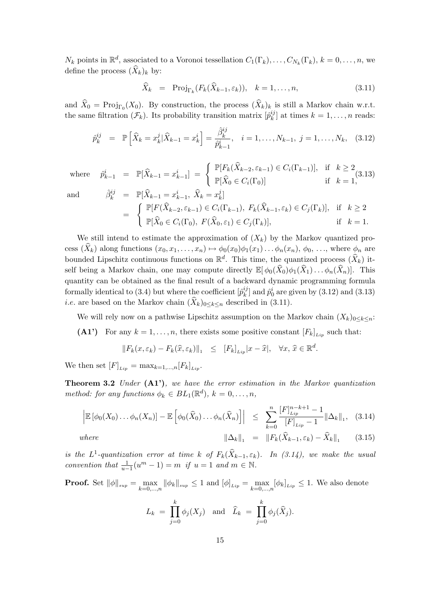$N_k$  points in  $\mathbb{R}^d$ , associated to a Voronoi tessellation  $C_1(\Gamma_k), \ldots, C_{N_k}(\Gamma_k), k = 0, \ldots, n$ , we define the process  $(\widehat{X}_k)_k$  by:

$$
\widehat{X}_k = \text{Proj}_{\Gamma_k}(F_k(\widehat{X}_{k-1}, \varepsilon_k)), \quad k = 1, \dots, n,
$$
\n(3.11)

and  $\widehat{X}_0 = \text{Proj}_{\Gamma_0}(X_0)$ . By construction, the process  $(\widehat{X}_k)_k$  is still a Markov chain w.r.t. the same filtration  $(\mathcal{F}_k)$ . Its probability transition matrix  $\left[ \hat{p}_k^{ij} \right]$  $k \choose k$  at times  $k = 1, \ldots, n$  reads:

$$
\hat{p}_{k}^{ij} = \mathbb{P}\left[\widehat{X}_{k} = x_{k}^{j} | \widehat{X}_{k-1} = x_{k}^{i}\right] = \frac{\widehat{\beta}_{k}^{ij}}{\widehat{p}_{k-1}^{i}}, \quad i = 1, \dots, N_{k-1}, \ j = 1, \dots, N_{k}, \quad (3.12)
$$

where  $\hat{p}_{k-1}^i = \mathbb{P}[\hat{X}_{k-1} = x_{k-1}^i] = \begin{cases} \mathbb{P}[F_k(\hat{X}_{k-2}, \varepsilon_{k-1}) \in C_i(\Gamma_{k-1})], & \text{if } k \geq 2 \ \mathbb{P}[\hat{X}_{k-2}, \varepsilon_{k-1}, \hat{X}_{k-2}, \varepsilon_{k-1}] & \text{if } k \geq 1 \end{cases}$  $\mathbb{P}[\widehat{X}_0 \in C_i(\Gamma_0)]$  if  $k = 1$ ,  $(3.13)$ and  $\hat{\beta}_k^{ij} = \mathbb{P}[\widehat{X}_{k-1} = x_{k-1}^i, \ \widehat{X}_k = x_k^j]$ 

$$
\begin{array}{rcl}\n\mathcal{F}_{k}^{ij} & = & \mathbb{P}[X_{k-1} = x_{k-1}^{i}, \ X_{k} = x_{k}^{j}] \\
& = & \begin{cases}\n\mathbb{P}[F(\widehat{X}_{k-2}, \varepsilon_{k-1}) \in C_{i}(\Gamma_{k-1}), \ F_{k}(\widehat{X}_{k-1}, \varepsilon_{k}) \in C_{j}(\Gamma_{k})], & \text{if } k \geq 2 \\
\mathbb{P}[\widehat{X}_{0} \in C_{i}(\Gamma_{0}), \ F(\widehat{X}_{0}, \varepsilon_{1}) \in C_{j}(\Gamma_{k})], & \text{if } k = 1.\n\end{cases}\n\end{array}
$$

We still intend to estimate the approximation of  $(X_k)$  by the Markov quantized process  $(\widehat{X}_k)$  along functions  $(x_0, x_1, \ldots, x_n) \mapsto \phi_0(x_0)\phi_1(x_1)\ldots \phi_n(x_n)$ ,  $\phi_0, \ldots$ , where  $\phi_n$  are bounded Lipschitz continuous functions on  $\mathbb{R}^d$ . This time, the quantized process  $(\widehat{X}_k)$  itself being a Markov chain, one may compute directly  $\mathbb{E}[\phi_0(\hat{X}_0)\phi_1(\hat{X}_1)\dots\phi_n(\hat{X}_n)]$ . This quantity can be obtained as the final result of a backward dynamic programming formula formally identical to (3.4) but where the coefficient  $\left[\hat{p}_{k}^{ij}\right]$  $\hat{k}_{k}^{ij}$  and  $\hat{p}_{0}^{i}$  are given by (3.12) and (3.13) *i.e.* are based on the Markov chain  $(\hat{X}_k)_{0\leq k\leq n}$  described in (3.11).

We will rely now on a pathwise Lipschitz assumption on the Markov chain  $(X_k)_{0\leq k\leq n}$ : (A1') For any  $k = 1, \ldots, n$ , there exists some positive constant  $[F_k]_{\ell}$  such that:

 $||F_k(x, \varepsilon_k) - F_k(\hat{x}, \varepsilon_k)||_1 \leq [F_k]_{Lip} |x - \hat{x}|, \quad \forall x, \, \hat{x} \in \mathbb{R}^d.$ 

We then set  $[F]_{Lin} = \max_{k=1,\dots,n} [F_k]_{Lin}$ .

**Theorem 3.2** Under  $(A1')$ , we have the error estimation in the Markov quantization method: for any functions  $\phi_k \in BL_1(\mathbb{R}^d)$ ,  $k = 0, \ldots, n$ ,

$$
\left| \mathbb{E} \left[ \phi_0(X_0) \dots \phi_n(X_n) \right] - \mathbb{E} \left[ \phi_0(\widehat{X}_0) \dots \phi_n(\widehat{X}_n) \right] \right| \leq \sum_{k=0}^n \frac{[F]_{Lip}^{n-k+1} - 1}{[F]_{Lip} - 1} \|\Delta_k\|_1, \quad (3.14)
$$

(3.15)

where  $\|\Delta_k\|_1 = \|F_k(\hat{X}_{k-1}, \varepsilon_k) - \hat{X}_k\|_1$ 

is the L<sup>1</sup>-quantization error at time k of  $F_k(\widehat{X}_{k-1}, \varepsilon_k)$ . In (3.14), we make the usual convention that  $\frac{1}{u-1}(u^m-1) = m$  if  $u = 1$  and  $m \in \mathbb{N}$ .

**Proof.** Set  $\|\phi\|_{sup} = \max_{k=0,\dots,n} \|\phi_k\|_{sup} \leq 1$  and  $[\phi]_{Lip} = \max_{k=0,\dots,n} [\phi_k]_{Lip} \leq 1$ . We also denote

$$
L_k = \prod_{j=0}^k \phi_j(X_j) \text{ and } \widehat{L}_k = \prod_{j=0}^k \phi_j(\widehat{X}_j).
$$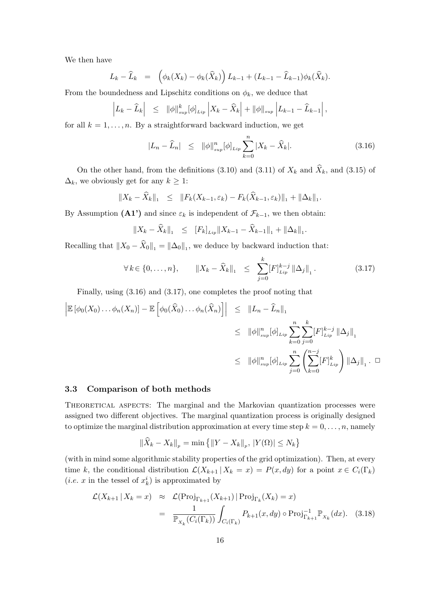We then have

$$
L_k - \widehat{L}_k = \left( \phi_k(X_k) - \phi_k(\widehat{X}_k) \right) L_{k-1} + (L_{k-1} - \widehat{L}_{k-1}) \phi_k(\widehat{X}_k).
$$

From the boundedness and Lipschitz conditions on  $\phi_k$ , we deduce that

$$
\left| L_k - \widehat{L}_k \right| \leq \|\phi\|_{\sup}^k [\phi]_{\mathit{Lip}} \left| X_k - \widehat{X}_k \right| + \|\phi\|_{\sup} \left| L_{k-1} - \widehat{L}_{k-1} \right|,
$$

for all  $k = 1, \ldots, n$ . By a straightforward backward induction, we get

$$
|L_n - \widehat{L}_n| \leq ||\phi||_{sup}^n [\phi]_{Lip} \sum_{k=0}^n |X_k - \widehat{X}_k|.
$$
 (3.16)

On the other hand, from the definitions (3.10) and (3.11) of  $X_k$  and  $\widehat{X}_k$ , and (3.15) of  $\Delta_k$ , we obviously get for any  $k \geq 1$ :

$$
||X_k - \widehat{X}_k||_1 \leq ||F_k(X_{k-1}, \varepsilon_k) - F_k(\widehat{X}_{k-1}, \varepsilon_k)||_1 + ||\Delta_k||_1.
$$

By Assumption (A1') and since  $\varepsilon_k$  is independent of  $\mathcal{F}_{k-1}$ , we then obtain:

$$
||X_k - \widehat{X}_k||_1 \leq [F_k]_{\text{Lip}} ||X_{k-1} - \widehat{X}_{k-1}||_1 + ||\Delta_k||_1.
$$

Recalling that  $||X_0 - \hat{X}_0||_1 = ||\Delta_0||_1$ , we deduce by backward induction that:

$$
\forall k \in \{0, \dots, n\}, \qquad \|X_k - \widehat{X}_k\|_1 \le \sum_{j=0}^k [F]_{Lip}^{k-j} \left\|\Delta_j\right\|_1. \tag{3.17}
$$

Finally, using (3.16) and (3.17), one completes the proof noting that

$$
\begin{aligned}\n\left| \mathbb{E} \left[ \phi_0(X_0) \dots \phi_n(X_n) \right] - \mathbb{E} \left[ \phi_0(\widehat{X}_0) \dots \phi_n(\widehat{X}_n) \right] \right| &\leq \| L_n - \widehat{L}_n \|_1 \\
&\leq \| \phi \|_{sup}^n [\phi]_{Lip} \sum_{k=0}^n \sum_{j=0}^k [F]_{Lip}^{k-j} \| \Delta_j \|_1 \\
&\leq \| \phi \|_{sup}^n [\phi]_{Lip} \sum_{j=0}^n \left( \sum_{k=0}^{n-j} [F]_{Lip}^k \right) \| \Delta_j \|_1 . \quad \Box\n\end{aligned}
$$

### 3.3 Comparison of both methods

THEORETICAL ASPECTS: The marginal and the Markovian quantization processes were assigned two different objectives. The marginal quantization process is originally designed to optimize the marginal distribution approximation at every time step  $k = 0, \ldots, n$ , namely

$$
\|\widehat{X}_k - X_k\|_p = \min \left\{ \|Y - X_k\|_p, |Y(\Omega)| \le N_k \right\}
$$

(with in mind some algorithmic stability properties of the grid optimization). Then, at every time k, the conditional distribution  $\mathcal{L}(X_{k+1} | X_k = x) = P(x, dy)$  for a point  $x \in C_i(\Gamma_k)$ (*i.e.* x in the tessel of  $x_k^i$ ) is approximated by

$$
\mathcal{L}(X_{k+1} | X_k = x) \approx \mathcal{L}(\text{Proj}_{\Gamma_{k+1}}(X_{k+1}) | \text{Proj}_{\Gamma_k}(X_k) = x)
$$
  
= 
$$
\frac{1}{\mathbb{P}_{X_k}(C_i(\Gamma_k))} \int_{C_i(\Gamma_k)} P_{k+1}(x, dy) \circ \text{Proj}_{\Gamma_{k+1}}^{-1} \mathbb{P}_{X_k}(dx).
$$
 (3.18)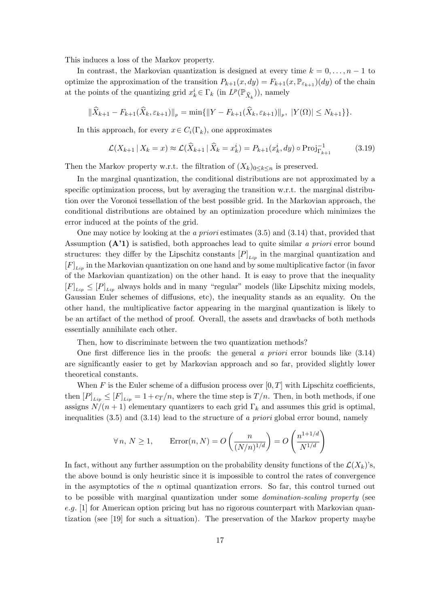This induces a loss of the Markov property.

In contrast, the Markovian quantization is designed at every time  $k = 0, \ldots, n - 1$  to optimize the approximation of the transition  $P_{k+1}(x, dy) = F_{k+1}(x, \mathbb{P}_{\varepsilon_{k+1}})(dy)$  of the chain at the points of the quantizing grid  $x_k^i \in \Gamma_k$  (in  $L^p(\mathbb{P}_{\hat{X}_k})$ ), namely

$$
\|\widehat{X}_{k+1} - F_{k+1}(\widehat{X}_k, \varepsilon_{k+1})\|_p = \min\{\|Y - F_{k+1}(\widehat{X}_k, \varepsilon_{k+1})\|_p, |Y(\Omega)| \le N_{k+1}\}\}.
$$

In this approach, for every  $x \in C_i(\Gamma_k)$ , one approximates

$$
\mathcal{L}(X_{k+1} \,|\, X_k = x) \approx \mathcal{L}(\hat{X}_{k+1} \,|\, \hat{X}_k = x_k^i) = P_{k+1}(x_k^i, dy) \circ \text{Proj}_{\Gamma_{k+1}}^{-1} \tag{3.19}
$$

Then the Markov property w.r.t. the filtration of  $(X_k)_{0\leq k\leq n}$  is preserved.

In the marginal quantization, the conditional distributions are not approximated by a specific optimization process, but by averaging the transition w.r.t. the marginal distribution over the Voronoi tessellation of the best possible grid. In the Markovian approach, the conditional distributions are obtained by an optimization procedure which minimizes the error induced at the points of the grid.

One may notice by looking at the a priori estimates (3.5) and (3.14) that, provided that Assumption  $(A'1)$  is satisfied, both approaches lead to quite similar a priori error bound structures: they differ by the Lipschitz constants  $[P]_{Lip}$  in the marginal quantization and  $[F]_{Lin}$  in the Markovian quantization on one hand and by some multiplicative factor (in favor of the Markovian quantization) on the other hand. It is easy to prove that the inequality  $[F]_{\text{Lin}} \leq [P]_{\text{Lin}}$  always holds and in many "regular" models (like Lipschitz mixing models, Gaussian Euler schemes of diffusions, etc), the inequality stands as an equality. On the other hand, the multiplicative factor appearing in the marginal quantization is likely to be an artifact of the method of proof. Overall, the assets and drawbacks of both methods essentially annihilate each other.

Then, how to discriminate between the two quantization methods?

One first difference lies in the proofs: the general a priori error bounds like  $(3.14)$ are significantly easier to get by Markovian approach and so far, provided slightly lower theoretical constants.

When F is the Euler scheme of a diffusion process over  $[0, T]$  with Lipschitz coefficients, then  $[P]_{Lip} \leq [F]_{Lip} = 1 + c_T/n$ , where the time step is  $T/n$ . Then, in both methods, if one assigns  $N/(n+1)$  elementary quantizers to each grid  $\Gamma_k$  and assumes this grid is optimal, inequalities  $(3.5)$  and  $(3.14)$  lead to the structure of a priori global error bound, namely

$$
\forall n, N \ge 1, \qquad \text{Error}(n, N) = O\left(\frac{n}{(N/n)^{1/d}}\right) = O\left(\frac{n^{1+1/d}}{N^{1/d}}\right)
$$

In fact, without any further assumption on the probability density functions of the  $\mathcal{L}(X_k)$ 's, the above bound is only heuristic since it is impossible to control the rates of convergence in the asymptotics of the  $n$  optimal quantization errors. So far, this control turned out to be possible with marginal quantization under some domination-scaling property (see e.g. [1] for American option pricing but has no rigorous counterpart with Markovian quantization (see [19] for such a situation). The preservation of the Markov property maybe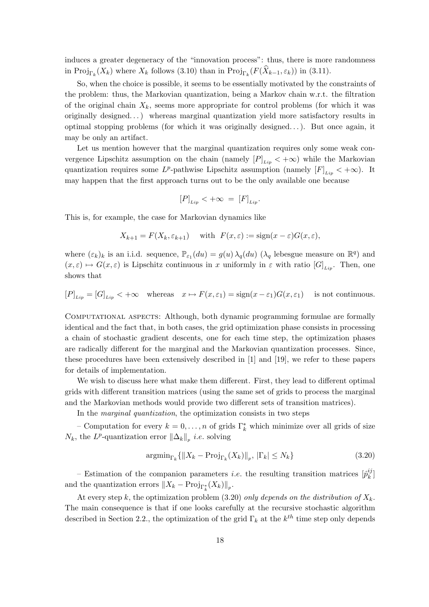induces a greater degeneracy of the "innovation process": thus, there is more randomness in  $\text{Proj}_{\Gamma_k}(X_k)$  where  $X_k$  follows (3.10) than in  $\text{Proj}_{\Gamma_k}(F(\widehat{X}_{k-1}, \varepsilon_k))$  in (3.11).

So, when the choice is possible, it seems to be essentially motivated by the constraints of the problem: thus, the Markovian quantization, being a Markov chain w.r.t. the filtration of the original chain  $X_k$ , seems more appropriate for control problems (for which it was originally designed...) whereas marginal quantization yield more satisfactory results in optimal stopping problems (for which it was originally designed. . . ). But once again, it may be only an artifact.

Let us mention however that the marginal quantization requires only some weak convergence Lipschitz assumption on the chain (namely  $[P]_{Lip} < +\infty$ ) while the Markovian quantization requires some  $L^p$ -pathwise Lipschitz assumption (namely  $[F]_{Lip} < +\infty$ ). It may happen that the first approach turns out to be the only available one because

$$
[P]_{Lip} < +\infty = [F]_{Lip}.
$$

This is, for example, the case for Markovian dynamics like

$$
X_{k+1} = F(X_k, \varepsilon_{k+1}) \quad \text{with} \quad F(x, \varepsilon) := \text{sign}(x - \varepsilon)G(x, \varepsilon),
$$

where  $(\varepsilon_k)_k$  is an i.i.d. sequence,  $\mathbb{P}_{\varepsilon_1}(du) = g(u)\lambda_q(du)$  ( $\lambda_q$  lebesgue measure on  $\mathbb{R}^q$ ) and  $(x, \varepsilon) \mapsto G(x, \varepsilon)$  is Lipschitz continuous in x uniformly in  $\varepsilon$  with ratio  $[G]_{Lip}$ . Then, one shows that

$$
[P]_{Lip} = [G]_{Lip} < +\infty \quad \text{whereas} \quad x \mapsto F(x,\varepsilon_1) = \text{sign}(x-\varepsilon_1)G(x,\varepsilon_1) \quad \text{ is not continuous.}
$$

Computational aspects: Although, both dynamic programming formulae are formally identical and the fact that, in both cases, the grid optimization phase consists in processing a chain of stochastic gradient descents, one for each time step, the optimization phases are radically different for the marginal and the Markovian quantization processes. Since, these procedures have been extensively described in [1] and [19], we refer to these papers for details of implementation.

We wish to discuss here what make them different. First, they lead to different optimal grids with different transition matrices (using the same set of grids to process the marginal and the Markovian methods would provide two different sets of transition matrices).

In the marginal quantization, the optimization consists in two steps

– Computation for every  $k = 0, \ldots, n$  of grids  $\Gamma_k^*$  which minimize over all grids of size  $N_k$ , the L<sup>p</sup>-quantization error  $\|\Delta_k\|_p$  *i.e.* solving

$$
\operatorname{argmin}_{\Gamma_k} \{ \| X_k - \operatorname{Proj}_{\Gamma_k}(X_k) \|_p, \, |\Gamma_k| \le N_k \} \tag{3.20}
$$

– Estimation of the companion parameters *i.e.* the resulting transition matrices  $\left[\hat{p}_k^{ij}\right]$  $_{k}^{\imath\jmath}]$ and the quantization errors  $||X_k - \text{Proj}_{\Gamma_k^*}(X_k)||_p$ .

At every step k, the optimization problem (3.20) only depends on the distribution of  $X_k$ . The main consequence is that if one looks carefully at the recursive stochastic algorithm described in Section 2.2., the optimization of the grid  $\Gamma_k$  at the  $k^{th}$  time step only depends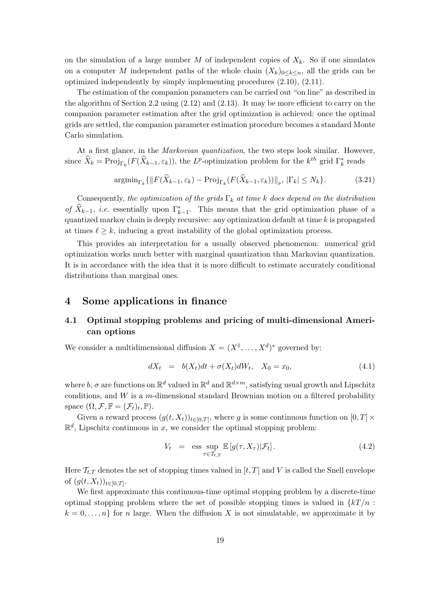on the simulation of a large number M of independent copies of  $X_k$ . So if one simulates on a computer M independent paths of the whole chain  $(X_k)_{0\leq k\leq n}$ , all the grids can be optimized independently by simply implementing procedures (2.10), (2.11).

The estimation of the companion parameters can be carried out "on line" as described in the algorithm of Section 2.2 using (2.12) and (2.13). It may be more efficient to carry on the companion parameter estimation after the grid optimization is achieved: once the optimal grids are settled, the companion parameter estimation procedure becomes a standard Monte Carlo simulation.

At a first glance, in the Markovian quantization, the two steps look similar. However, since  $\widehat{X}_k = \text{Proj}_{\Gamma_k}(F(\widehat{X}_{k-1}, \varepsilon_k))$ , the L<sup>p</sup>-optimization problem for the  $k^{th}$  grid  $\Gamma_k^*$  reads

$$
\operatorname{argmin}_{\Gamma_k} \{ \| F(\widehat{X}_{k-1}, \varepsilon_k) - \operatorname{Proj}_{\Gamma_k} (F(\widehat{X}_{k-1}, \varepsilon_k)) \|_p, \, |\Gamma_k| \le N_k \}. \tag{3.21}
$$

Consequently, the optimization of the grids  $\Gamma_k$  at time k does depend on the distribution of  $\widehat{X}_{k-1}$ , *i.e.* essentially upon  $\Gamma_{k-1}^*$ . This means that the grid optimization phase of a quantized markov chain is deeply recursive: any optimization default at time  $k$  is propagated at times  $\ell \geq k$ , inducing a great instability of the global optimization process.

This provides an interpretation for a usually observed phenomenon: numerical grid optimization works much better with marginal quantization than Markovian quantization. It is in accordance with the idea that it is more difficult to estimate accurately conditional distributions than marginal ones.

# 4 Some applications in finance

# 4.1 Optimal stopping problems and pricing of multi-dimensional American options

We consider a multidimensional diffusion  $X = (X^1, \ldots, X^d)^*$  governed by:

$$
dX_t = b(X_t)dt + \sigma(X_t)dW_t, \quad X_0 = x_0,
$$
\n(4.1)

where b,  $\sigma$  are functions on  $\mathbb{R}^d$  valued in  $\mathbb{R}^d$  and  $\mathbb{R}^{d \times m}$ , satisfying usual growth and Lipschitz conditions, and  $W$  is a m-dimensional standard Brownian motion on a filtered probability space  $(\Omega, \mathcal{F}, \mathbb{F} = (\mathcal{F}_t)_t, \mathbb{P}).$ 

Given a reward process  $(g(t, X_t))_{t \in [0,T]},$  where g is some continuous function on  $[0,T] \times$  $\mathbb{R}^d$ , Lipschitz continuous in x, we consider the optimal stopping problem:

$$
V_t = \operatorname{ess} \sup_{\tau \in \mathcal{T}_{t,T}} \mathbb{E}\left[g(\tau, X_{\tau}) | \mathcal{F}_t\right]. \tag{4.2}
$$

Here  $\mathcal{T}_{t,T}$  denotes the set of stopping times valued in  $[t,T]$  and V is called the Snell envelope of  $(g(t, X_t))_{t \in [0,T]}$ .

We first approximate this continuous-time optimal stopping problem by a discrete-time optimal stopping problem where the set of possible stopping times is valued in  $\{kT/n$ :  $k = 0, \ldots, n$  for n large. When the diffusion X is not simulatable, we approximate it by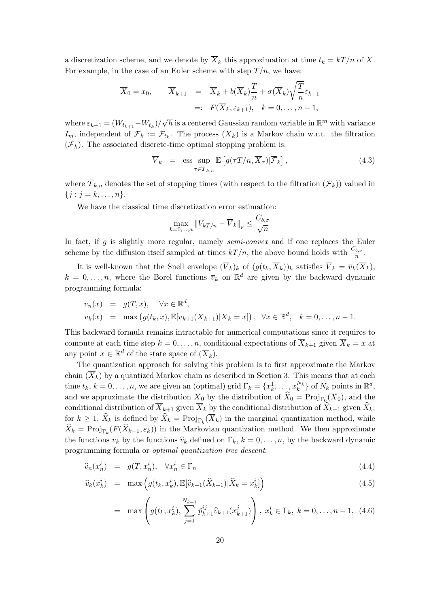a discretization scheme, and we denote by  $\overline{X}_k$  this approximation at time  $t_k = kT/n$  of X. For example, in the case of an Euler scheme with step  $T/n$ , we have:

$$
\overline{X}_0 = x_0, \qquad \overline{X}_{k+1} = \overline{X}_k + b(\overline{X}_k) \frac{T}{n} + \sigma(\overline{X}_k) \sqrt{\frac{T}{n}} \varepsilon_{k+1}
$$

$$
=: F(\overline{X}_k, \varepsilon_{k+1}), \quad k = 0, \dots, n-1,
$$

where  $\varepsilon_{k+1} = (W_{t_{k+1}} - W_{t_k})/$  $\overline{h}$  is a centered Gaussian random variable in  $\mathbb{R}^m$  with variance  $I_m$ , independent of  $\overline{\mathcal{F}}_k := \mathcal{F}_{t_k}$ . The process  $(\overline{X}_k)$  is a Markov chain w.r.t. the filtration  $(\overline{\mathcal{F}}_k)$ . The associated discrete-time optimal stopping problem is:

$$
\overline{V}_k = \operatorname{ess} \sup_{\tau \in \overline{\mathcal{T}}_{k,n}} \mathbb{E} \left[ g(\tau T/n, \overline{X}_{\tau}) | \overline{\mathcal{F}}_k \right], \tag{4.3}
$$

where  $\overline{\mathcal{T}}_{k,n}$  denotes the set of stopping times (with respect to the filtration  $(\overline{\mathcal{F}}_k)$ ) valued in  ${j : j = k, \ldots, n}.$ 

We have the classical time discretization error estimation:

$$
\max_{k=0,\dots,n} \|V_{kT/n} - \overline{V}_k\|_p \le \frac{C_{b,\sigma}}{\sqrt{n}}
$$

In fact, if  $g$  is slightly more regular, namely *semi-convex* and if one replaces the Euler scheme by the diffusion itself sampled at times  $kT/n$ , the above bound holds with  $\frac{C_{b,\sigma}}{n}$ .

It is well-known that the Snell envelope  $(\overline{V}_k)_k$  of  $(g(t_k, \overline{X}_k))_k$  satisfies  $\overline{V}_k = \overline{v}_k(\overline{X}_k)$ ,  $k = 0, \ldots, n$ , where the Borel functions  $\overline{v}_k$  on  $\mathbb{R}^d$  are given by the backward dynamic programming formula:

$$
\overline{v}_n(x) = g(T, x), \quad \forall x \in \mathbb{R}^d,
$$
  
\n
$$
\overline{v}_k(x) = \max (g(t_k, x), \mathbb{E}[\overline{v}_{k+1}(\overline{X}_{k+1})|\overline{X}_k = x]), \quad \forall x \in \mathbb{R}^d, \quad k = 0, \dots, n-1.
$$

This backward formula remains intractable for numerical computations since it requires to compute at each time step  $k = 0, \ldots, n$ , conditional expectations of  $\overline{X}_{k+1}$  given  $\overline{X}_k = x$  at any point  $x \in \mathbb{R}^d$  of the state space of  $(\overline{X}_k)$ .

The quantization approach for solving this problem is to first approximate the Markov chain  $(\overline{X}_k)$  by a quantized Markov chain as described in Section 3. This means that at each time  $t_k$ ,  $k = 0, \ldots, n$ , we are given an (optimal) grid  $\Gamma_k = \{x_k^1, \ldots, x_k^{N_k}\}$  of  $N_k$  points in  $\mathbb{R}^d$ , and we approximate the distribution  $\overline{X}_0$  by the distribution of  $\widehat{X}_0 = \text{Proj}_{\Gamma_0}(\overline{X}_0)$ , and the conditional distribution of  $\overline{X}_{k+1}$  given  $\overline{X}_k$  by the conditional distribution of  $\overline{\hat{X}}_{k+1}$  given  $\widehat{X}_k$ : for  $k \geq 1$ ,  $\widehat{X}_k$  is defined by  $\widehat{X}_k = \text{Proj}_{\Gamma_k}(\overline{X}_k)$  in the marginal quantization method, while  $\widehat{X}_k = \text{Proj}_{\Gamma_k}(F(\widehat{X}_{k-1}, \varepsilon_k))$  in the Markovian quantization method. We then approximate the functions  $\bar{v}_k$  by the functions  $\hat{v}_k$  defined on  $\Gamma_k$ ,  $k = 0, \ldots, n$ , by the backward dynamic programming formula or optimal quantization tree descent:

$$
\widehat{v}_n(x_n^i) = g(T, x_n^i), \quad \forall x_n^i \in \Gamma_n \tag{4.4}
$$

$$
\widehat{v}_k(x_k^i) = \max\left(g(t_k, x_k^i), \mathbb{E}[\widehat{v}_{k+1}(\widehat{X}_{k+1})|\widehat{X}_k = x_k^i]\right)
$$
\n(4.5)

$$
= \max \left( g(t_k, x_k^i), \sum_{j=1}^{N_{k+1}} \hat{p}_{k+1}^{ij} \hat{v}_{k+1}(x_{k+1}^j) \right), \ x_k^i \in \Gamma_k, \ k = 0, \dots, n-1, \ (4.6)
$$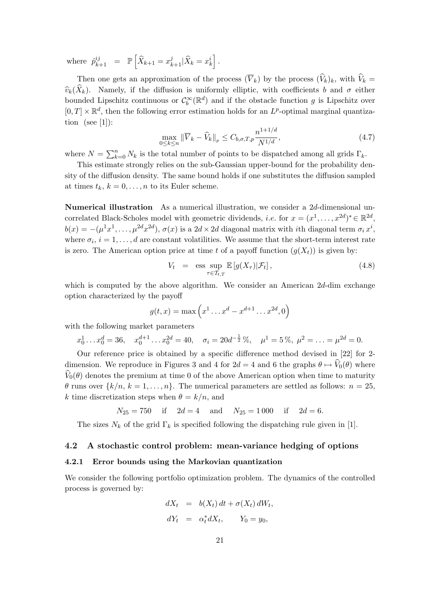where  $\hat{p}_{k+1}^{ij}$  =  $\mathbb{P}$ h  $\widehat{X}_{k+1} = x_{k+1}^j | \widehat{X}_k = x_k^i$ i .

Then one gets an approximation of the process  $(\overline{V}_k)$  by the process  $(\widehat{V}_k)_k$ , with  $\widehat{V}_k =$  $\widehat{v}_k(\widehat{X}_k)$ . Namely, if the diffusion is uniformly elliptic, with coefficients b and  $\sigma$  either bounded Lipschitz continuous or  $\mathcal{C}_b^{\infty}(\mathbb{R}^d)$  and if the obstacle function g is Lipschitz over  $[0, T] \times \mathbb{R}^d$ , then the following error estimation holds for an L<sup>p</sup>-optimal marginal quantization (see [1]):

$$
\max_{0 \le k \le n} \|\overline{V}_k - \widehat{V}_k\|_p \le C_{b,\sigma,T,p} \frac{n^{1+1/d}}{N^{1/d}},
$$
\n(4.7)

where  $N = \sum_{k=1}^{n}$  $k=0$   $N_k$  is the total number of points to be dispatched among all grids  $\Gamma_k$ .

This estimate strongly relies on the sub-Gaussian upper-bound for the probability density of the diffusion density. The same bound holds if one substitutes the diffusion sampled at times  $t_k$ ,  $k = 0, \ldots, n$  to its Euler scheme.

Numerical illustration As a numerical illustration, we consider a 2d-dimensional uncorrelated Black-Scholes model with geometric dividends, *i.e.* for  $x = (x^1, \ldots, x^{2d})^* \in \mathbb{R}^{2d}$ ,  $b(x) = -(\mu^1 x^1, \dots, \mu^{2d} x^{2d}), \sigma(x)$  is a  $2d \times 2d$  diagonal matrix with *i*th diagonal term  $\sigma_i x^i$ , where  $\sigma_i$ ,  $i = 1, \ldots, d$  are constant volatilities. We assume that the short-term interest rate is zero. The American option price at time t of a payoff function  $(q(X_t))$  is given by:

$$
V_t = \operatorname{ess} \sup_{\tau \in T_{t,T}} \mathbb{E}\left[g(X_{\tau})|\mathcal{F}_t\right],\tag{4.8}
$$

which is computed by the above algorithm. We consider an American 2d-dim exchange option characterized by the payoff ´

$$
g(t,x) = \max\left(x^1 \dots x^d - x^{d+1} \dots x^{2d}, 0\right)
$$

with the following market parameters

$$
x_0^1 \dots x_0^d = 36
$$
,  $x_0^{d+1} \dots x_0^{2d} = 40$ ,  $\sigma_i = 20d^{-\frac{1}{2}}\%$ ,  $\mu^1 = 5\%$ ,  $\mu^2 = \dots = \mu^{2d} = 0$ .

Our reference price is obtained by a specific difference method devised in [22] for 2 dimension. We reproduce in Figures 3 and 4 for  $2d = 4$  and 6 the graphs  $\theta \mapsto V_0(\theta)$  where  $V_0(\theta)$  denotes the premium at time 0 of the above American option when time to maturity  $\theta$  runs over  $\{k/n, k = 1, \ldots, n\}$ . The numerical parameters are settled as follows:  $n = 25$ , k time discretization steps when  $\theta = k/n$ , and

$$
N_{25} = 750
$$
 if  $2d = 4$  and  $N_{25} = 1000$  if  $2d = 6$ .

The sizes  $N_k$  of the grid  $\Gamma_k$  is specified following the dispatching rule given in [1].

## 4.2 A stochastic control problem: mean-variance hedging of options

#### 4.2.1 Error bounds using the Markovian quantization

We consider the following portfolio optimization problem. The dynamics of the controlled process is governed by:

$$
dX_t = b(X_t) dt + \sigma(X_t) dW_t,
$$
  
\n
$$
dY_t = \alpha_t^* dX_t, \qquad Y_0 = y_0,
$$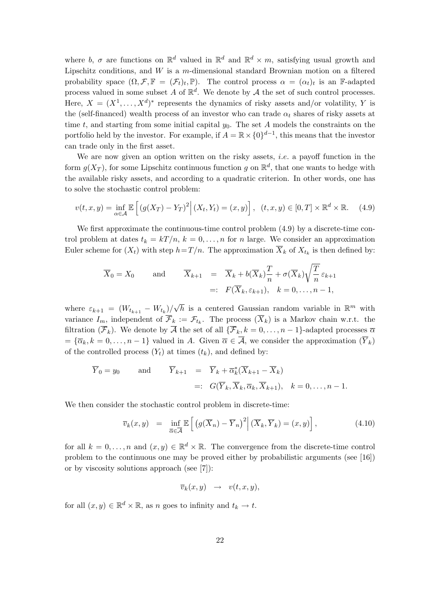where b,  $\sigma$  are functions on  $\mathbb{R}^d$  valued in  $\mathbb{R}^d$  and  $\mathbb{R}^d \times m$ , satisfying usual growth and Lipschitz conditions, and  $W$  is a m-dimensional standard Brownian motion on a filtered probability space  $(\Omega, \mathcal{F}, \mathbb{F} = (\mathcal{F}_t)_t, \mathbb{P})$ . The control process  $\alpha = (\alpha_t)_t$  is an F-adapted process valued in some subset A of  $\mathbb{R}^d$ . We denote by A the set of such control processes. Here,  $X = (X^1, \ldots, X^d)^*$  represents the dynamics of risky assets and/or volatility, Y is the (self-financed) wealth process of an investor who can trade  $\alpha_t$  shares of risky assets at time t, and starting from some initial capital  $y_0$ . The set A models the constraints on the portfolio held by the investor. For example, if  $A = \mathbb{R} \times \{0\}^{d-1}$ , this means that the investor can trade only in the first asset.

We are now given an option written on the risky assets, *i.e.* a payoff function in the form  $g(X_T)$ , for some Lipschitz continuous function g on  $\mathbb{R}^d$ , that one wants to hedge with the available risky assets, and according to a quadratic criterion. In other words, one has to solve the stochastic control problem:

$$
v(t, x, y) = \inf_{\alpha \in \mathcal{A}} \mathbb{E}\left[\left(g(X_T) - Y_T\right)^2 \middle| (X_t, Y_t) = (x, y)\right], \ (t, x, y) \in [0, T] \times \mathbb{R}^d \times \mathbb{R}.
$$
 (4.9)

We first approximate the continuous-time control problem (4.9) by a discrete-time control problem at dates  $t_k = kT/n$ ,  $k = 0, \ldots, n$  for n large. We consider an approximation Euler scheme for  $(X_t)$  with step  $h = T / n$ . The approximation  $\overline{X}_k$  of  $X_{t_k}$  is then defined by:

$$
\overline{X}_0 = X_0
$$
 and  $\overline{X}_{k+1} = \overline{X}_k + b(\overline{X}_k) \frac{T}{n} + \sigma(\overline{X}_k) \sqrt{\frac{T}{n}} \varepsilon_{k+1}$   
 $=: F(\overline{X}_k, \varepsilon_{k+1}), \quad k = 0, ..., n-1,$ 

where  $\varepsilon_{k+1} = (W_{t_{k+1}} - W_{t_k})/$ √  $\overline{h}$  is a centered Gaussian random variable in  $\mathbb{R}^m$  with variance  $I_m$ , independent of  $\overline{\mathcal{F}}_k := \mathcal{F}_{t_k}$ . The process  $(\overline{X}_k)$  is a Markov chain w.r.t. the filtration  $(\overline{\mathcal{F}}_k)$ . We denote by  $\overline{\mathcal{A}}$  the set of all  $\{\overline{\mathcal{F}}_k, k = 0, \ldots, n-1\}$ -adapted processes  $\overline{\alpha}$  $=\{\overline{\alpha}_k, k=0,\ldots,n-1\}$  valued in A. Given  $\overline{\alpha} \in \overline{\mathcal{A}}$ , we consider the approximation  $(\overline{Y}_k)$ of the controlled process  $(Y_t)$  at times  $(t_k)$ , and defined by:

$$
\overline{Y}_0 = y_0
$$
 and  $\overline{Y}_{k+1} = \overline{Y}_k + \overline{\alpha}_k^*(\overline{X}_{k+1} - \overline{X}_k)$   
 $=: G(\overline{Y}_k, \overline{X}_k, \overline{\alpha}_k, \overline{X}_{k+1}), k = 0, ..., n-1.$ 

We then consider the stochastic control problem in discrete-time:

$$
\overline{v}_k(x,y) = \inf_{\overline{\alpha} \in \overline{\mathcal{A}}} \mathbb{E}\left[\left(g(\overline{X}_n) - \overline{Y}_n\right)^2 \middle| (\overline{X}_k, \overline{Y}_k) = (x,y)\right],\tag{4.10}
$$

for all  $k = 0, \ldots, n$  and  $(x, y) \in \mathbb{R}^d \times \mathbb{R}$ . The convergence from the discrete-time control problem to the continuous one may be proved either by probabilistic arguments (see [16]) or by viscosity solutions approach (see [7]):

$$
\overline{v}_k(x,y) \rightarrow v(t,x,y),
$$

for all  $(x, y) \in \mathbb{R}^d \times \mathbb{R}$ , as n goes to infinity and  $t_k \to t$ .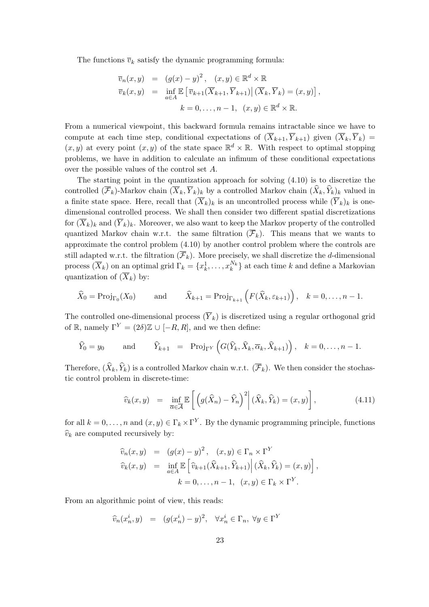The functions  $\overline{v}_k$  satisfy the dynamic programming formula:

$$
\overline{v}_n(x, y) = (g(x) - y)^2, \quad (x, y) \in \mathbb{R}^d \times \mathbb{R}
$$
  
\n
$$
\overline{v}_k(x, y) = \inf_{a \in A} \mathbb{E} \left[ \overline{v}_{k+1}(\overline{X}_{k+1}, \overline{Y}_{k+1}) | (\overline{X}_k, \overline{Y}_k) = (x, y) \right],
$$
  
\n
$$
k = 0, \dots, n - 1, \quad (x, y) \in \mathbb{R}^d \times \mathbb{R}.
$$

From a numerical viewpoint, this backward formula remains intractable since we have to compute at each time step, conditional expectations of  $(\overline{X}_{k+1}, \overline{Y}_{k+1})$  given  $(\overline{X}_k, \overline{Y}_k)$  =  $(x, y)$  at every point  $(x, y)$  of the state space  $\mathbb{R}^d \times \mathbb{R}$ . With respect to optimal stopping problems, we have in addition to calculate an infimum of these conditional expectations over the possible values of the control set A.

The starting point in the quantization approach for solving (4.10) is to discretize the controlled  $(\overline{\mathcal{F}}_k)$ -Markov chain  $(\overline{X}_k, \overline{Y}_k)_k$  by a controlled Markov chain  $(\widehat{X}_k, \widehat{Y}_k)_k$  valued in a finite state space. Here, recall that  $(\overline{X}_k)_k$  is an uncontrolled process while  $(\overline{Y}_k)_k$  is onedimensional controlled process. We shall then consider two different spatial discretizations for  $(\overline{X}_k)_k$  and  $(\overline{Y}_k)_k$ . Moreover, we also want to keep the Markov property of the controlled quantized Markov chain w.r.t. the same filtration  $(\overline{\mathcal{F}}_k)$ . This means that we wants to approximate the control problem (4.10) by another control problem where the controls are still adapted w.r.t. the filtration  $(\overline{\mathcal{F}}_k)$ . More precisely, we shall discretize the d-dimensional process  $(\overline{X}_k)$  on an optimal grid  $\Gamma_k = \{x_k^1, \ldots, x_k^{N_k}\}$  at each time k and define a Markovian quantization of  $(\overline{X}_k)$  by:

$$
\widehat{X}_0 = \text{Proj}_{\Gamma_0}(X_0)
$$
 and  $\widehat{X}_{k+1} = \text{Proj}_{\Gamma_{k+1}}(F(\widehat{X}_k, \varepsilon_{k+1}))$ ,  $k = 0, ..., n-1$ .

The controlled one-dimensional process  $(\overline{Y}_k)$  is discretized using a regular orthogonal grid of R, namely  $\Gamma^{Y} = (2\delta) \mathbb{Z} \cup [-R, R]$ , and we then define:

$$
\widehat{Y}_0 = y_0
$$
 and  $\widehat{Y}_{k+1} = \text{Proj}_{\Gamma^Y} \left( G(\widehat{Y}_k, \widehat{X}_k, \overline{\alpha}_k, \widehat{X}_{k+1}) \right), k = 0, ..., n-1.$ 

Therefore,  $(\widehat{X}_k, \widehat{Y}_k)$  is a controlled Markov chain w.r.t.  $(\overline{\mathcal{F}}_k)$ . We then consider the stochastic control problem in discrete-time:

$$
\widehat{v}_k(x,y) = \inf_{\overline{\alpha} \in \overline{\mathcal{A}}} \mathbb{E}\left[\left(g(\widehat{X}_n) - \widehat{Y}_n\right)^2 \middle| (\widehat{X}_k, \widehat{Y}_k) = (x,y)\right],\tag{4.11}
$$

for all  $k = 0, \ldots, n$  and  $(x, y) \in \Gamma_k \times \Gamma^Y$ . By the dynamic programming principle, functions  $\widehat{v}_k$  are computed recursively by:

$$
\widehat{v}_n(x, y) = (g(x) - y)^2, \quad (x, y) \in \Gamma_n \times \Gamma^Y
$$
  

$$
\widehat{v}_k(x, y) = \inf_{a \in A} \mathbb{E} \left[ \widehat{v}_{k+1}(\widehat{X}_{k+1}, \widehat{Y}_{k+1}) \middle| (\widehat{X}_k, \widehat{Y}_k) = (x, y) \right],
$$
  

$$
k = 0, \dots, n - 1, \quad (x, y) \in \Gamma_k \times \Gamma^Y.
$$

From an algorithmic point of view, this reads:

$$
\widehat{v}_n(x_n^i, y) = (g(x_n^i) - y)^2, \quad \forall x_n^i \in \Gamma_n, \ \forall y \in \Gamma^Y
$$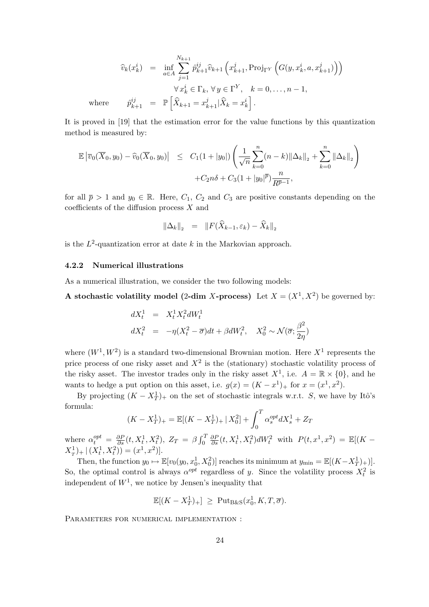$$
\widehat{v}_k(x_k^i) = \inf_{a \in A} \sum_{j=1}^{N_{k+1}} \widehat{p}_{k+1}^{ij} \widehat{v}_{k+1} \left( x_{k+1}^j, \text{Proj}_{\Gamma^Y} \left( G(y, x_k^i, a, x_{k+1}^j) \right) \right)
$$

$$
\forall x_k^i \in \Gamma_k, \forall y \in \Gamma^Y, \quad k = 0, \dots, n-1,
$$
  
where 
$$
\widehat{p}_{k+1}^{ij} = \mathbb{P} \left[ \widehat{X}_{k+1} = x_{k+1}^j | \widehat{X}_k = x_k^i \right].
$$

It is proved in [19] that the estimation error for the value functions by this quantization method is measured by:

$$
\mathbb{E} |\overline{v}_0(\overline{X}_0, y_0) - \widehat{v}_0(\overline{X}_0, y_0)| \leq C_1 (1 + |y_0|) \left( \frac{1}{\sqrt{n}} \sum_{k=0}^n (n - k) ||\Delta_k||_2 + \sum_{k=0}^n ||\Delta_k||_2 \right) + C_2 n \delta + C_3 (1 + |y_0|^{\overline{p}}) \frac{n}{R^{\overline{p}-1}},
$$

for all  $\bar{p} > 1$  and  $y_0 \in \mathbb{R}$ . Here,  $C_1$ ,  $C_2$  and  $C_3$  are positive constants depending on the coefficients of the diffusion process  $X$  and

$$
\|\Delta_k\|_2 = \|F(\widehat{X}_{k-1}, \varepsilon_k) - \widehat{X}_k\|_2
$$

is the  $L^2$ -quantization error at date k in the Markovian approach.

#### 4.2.2 Numerical illustrations

As a numerical illustration, we consider the two following models:

A stochastic volatility model (2-dim X-process) Let  $X = (X^1, X^2)$  be governed by:

$$
dX_t^1 = X_t^1 X_t^2 dW_t^1
$$
  

$$
dX_t^2 = -\eta (X_t^2 - \overline{\sigma}) dt + \beta dW_t^2, \quad X_0^2 \sim \mathcal{N}(\overline{\sigma}; \frac{\beta^2}{2\eta})
$$

where  $(W^1, W^2)$  is a standard two-dimensional Brownian motion. Here  $X^1$  represents the price process of one risky asset and  $X^2$  is the (stationary) stochastic volatility process of the risky asset. The investor trades only in the risky asset  $X^1$ , i.e.  $A = \mathbb{R} \times \{0\}$ , and he wants to hedge a put option on this asset, i.e.  $g(x) = (K - x^1)_+$  for  $x = (x^1, x^2)$ .

By projecting  $(K - X_T^1)_+$  on the set of stochastic integrals w.r.t. S, we have by Itô's formula:

$$
(K - X_T^1)_+ = \mathbb{E}[(K - X_T^1)_+ | X_0^2] + \int_0^T \alpha_s^{opt} dX_s^1 + Z_T
$$

where  $\alpha_t^{opt} = \frac{\partial P}{\partial s}(t, X_t^1, X_t^2), Z_T = \beta \int_0^T$ 0  $\frac{\partial P}{\partial s}(t, X_t^1, X_t^2)dW_t^2$  with  $P(t, x^1, x^2) = \mathbb{E}[(K X_T^1$  +  $|(X_t^1, X_t^2)$  =  $(x^1, x^2)$  .

Then, the function  $y_0 \mapsto \mathbb{E}[v_0(y_0, x_0^1, X_0^2)]$  reaches its minimum at  $y_{\min} = \mathbb{E}[(K - X_T^1)_+)]$ . So, the optimal control is always  $\alpha^{opt}$  regardless of y. Since the volatility process  $X_t^2$  is independent of  $W<sup>1</sup>$ , we notice by Jensen's inequality that

$$
\mathbb{E}[(K - X_T^1)_+] \geq \text{Put}_{\text{B\&S}}(x_0^1, K, T, \overline{\sigma}).
$$

PARAMETERS FOR NUMERICAL IMPLEMENTATION :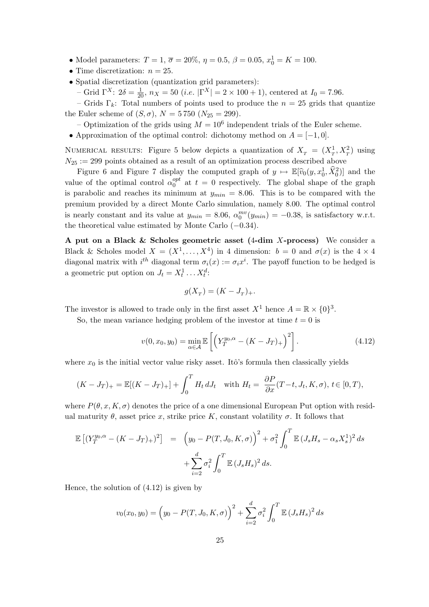- Model parameters:  $T = 1, \overline{\sigma} = 20\%, \eta = 0.5, \beta = 0.05, x_0^1 = K = 100.$
- Time discretization:  $n = 25$ .
- Spatial discretization (quantization grid parameters):

– Grid  $\Gamma^X$ :  $2\delta = \frac{1}{20}$ ,  $n_X = 50$  (*i.e.*  $|\Gamma^X| = 2 \times 100 + 1$ ), centered at  $I_0 = 7.96$ .

– Grids  $\Gamma_k$ : Total numbers of points used to produce the  $n = 25$  grids that quantize the Euler scheme of  $(S, \sigma)$ ,  $N = 5750$   $(N_{25} = 299)$ .

- Optimization of the grids using  $M = 10^6$  independent trials of the Euler scheme.
- Approximation of the optimal control: dichotomy method on  $A = [-1, 0]$ .

NUMERICAL RESULTS: Figure 5 below depicts a quantization of  $X_T = (X_T^1, X_T^2)$  using  $N_{25} := 299$  points obtained as a result of an optimization process described above

Figure 6 and Figure 7 display the computed graph of  $y \mapsto \mathbb{E}[\hat{v}_0(y, x_0^1, \hat{X}_0^2)]$  and the value of the optimal control  $\alpha_0^{opt}$  $_{0}^{opt}$  at  $t = 0$  respectively. The global shape of the graph is parabolic and reaches its minimum at  $y_{min} = 8.06$ . This is to be compared with the premium provided by a direct Monte Carlo simulation, namely 8.00. The optimal control is nearly constant and its value at  $y_{min} = 8.06$ ,  $\alpha_0^{mv}(y_{min}) = -0.38$ , is satisfactory w.r.t. the theoretical value estimated by Monte Carlo (−0.34).

A put on a Black & Scholes geometric asset (4-dim X-process) We consider a Black & Scholes model  $X = (X^1, \ldots, X^4)$  in 4 dimension:  $b = 0$  and  $\sigma(x)$  is the  $4 \times 4$ diagonal matrix with  $i^{th}$  diagonal term  $\sigma_i(x) := \sigma_i x^i$ . The payoff function to be hedged is a geometric put option on  $J_t = X_t^1 \dots X_t^d$ :

$$
g(X_T) = (K - J_T)_+.
$$

The investor is allowed to trade only in the first asset  $X^1$  hence  $A = \mathbb{R} \times \{0\}^3$ .

So, the mean variance hedging problem of the investor at time  $t = 0$  is

$$
v(0, x_0, y_0) = \min_{\alpha \in \mathcal{A}} \mathbb{E}\left[ \left( Y_T^{y_0, \alpha} - (K - J_T)_+ \right)^2 \right].
$$
 (4.12)

where  $x_0$  is the initial vector value risky asset. Itô's formula then classically yields

$$
(K-J_T)_+ = \mathbb{E}[(K-J_T)_+] + \int_0^T H_t dJ_t \quad \text{with } H_t = \frac{\partial P}{\partial x}(T-t, J_t, K, \sigma), t \in [0, T),
$$

where  $P(\theta, x, K, \sigma)$  denotes the price of a one dimensional European Put option with residual maturity  $\theta$ , asset price x, strike price K, constant volatility  $\sigma$ . It follows that

$$
\mathbb{E}\left[\left(Y_T^{y_0,\alpha} - (K - J_T)_+\right)^2\right] = \left(y_0 - P(T, J_0, K, \sigma)\right)^2 + \sigma_1^2 \int_0^T \mathbb{E}\left(J_s H_s - \alpha_s X_s^1\right)^2 ds + \sum_{i=2}^d \sigma_i^2 \int_0^T \mathbb{E}\left(J_s H_s\right)^2 ds.
$$

Hence, the solution of (4.12) is given by

$$
v_0(x_0, y_0) = (y_0 - P(T, J_0, K, \sigma))^2 + \sum_{i=2}^d \sigma_i^2 \int_0^T \mathbb{E} (J_s H_s)^2 ds
$$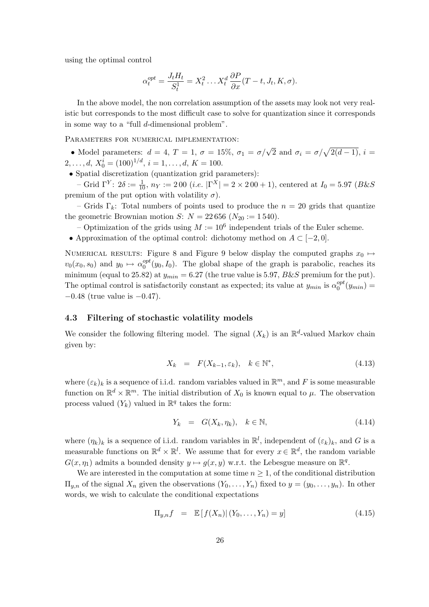using the optimal control

$$
\alpha_t^{opt} = \frac{J_t H_t}{S_t^1} = X_t^2 \dots X_t^d \frac{\partial P}{\partial x}(T - t, J_t, K, \sigma).
$$

In the above model, the non correlation assumption of the assets may look not very realistic but corresponds to the most difficult case to solve for quantization since it corresponds in some way to a "full d-dimensional problem".

PARAMETERS FOR NUMERICAL IMPLEMENTATION:

• Model parameters:  $d = 4$ ,  $T = 1$ ,  $\sigma = 15\%$ ,  $\sigma_1 = \sigma/\sqrt{2}$  and  $\sigma_i = \sigma/\sqrt{2(d-1)}$ ,  $i =$  $2, \ldots, d, X_0^i = (100)^{1/d}, i = 1, \ldots, d, K = 100.$ 

• Spatial discretization (quantization grid parameters):

– Grid Γ<sup>Y</sup>:  $2δ := \frac{1}{10}$ ,  $n_Y := 200$  (*i.e.*  $|\Gamma^X| = 2 \times 200 + 1$ ), centered at  $I_0 = 5.97$  (*B&S* premium of the put option with volatility  $\sigma$ ).

– Grids Γ<sub>k</sub>: Total numbers of points used to produce the  $n = 20$  grids that quantize the geometric Brownian motion *S*:  $N = 22656 (N_{20} := 1540)$ .

– Optimization of the grids using  $M := 10^6$  independent trials of the Euler scheme.

• Approximation of the optimal control: dichotomy method on  $A \subset [-2,0]$ .

NUMERICAL RESULTS: Figure 8 and Figure 9 below display the computed graphs  $x_0 \mapsto$  $v_0(x_0, s_0)$  and  $y_0 \mapsto \alpha_0^{opt}$  $_{0}^{opt}(y_0, I_0)$ . The global shape of the graph is parabolic, reaches its minimum (equal to 25.82) at  $y_{min} = 6.27$  (the true value is 5.97,  $B&S$  premium for the put). The optimal control is satisfactorily constant as expected; its value at  $y_{min}$  is  $\alpha_0^{opt}$  $_0^{opt}(y_{min}) =$  $-0.48$  (true value is  $-0.47$ ).

#### 4.3 Filtering of stochastic volatility models

We consider the following filtering model. The signal  $(X_k)$  is an  $\mathbb{R}^d$ -valued Markov chain given by:

$$
X_k = F(X_{k-1}, \varepsilon_k), \quad k \in \mathbb{N}^*, \tag{4.13}
$$

where  $(\varepsilon_k)_k$  is a sequence of i.i.d. random variables valued in  $\mathbb{R}^m$ , and F is some measurable function on  $\mathbb{R}^d \times \mathbb{R}^m$ . The initial distribution of  $X_0$  is known equal to  $\mu$ . The observation process valued  $(Y_k)$  valued in  $\mathbb{R}^q$  takes the form:

$$
Y_k = G(X_k, \eta_k), \quad k \in \mathbb{N}, \tag{4.14}
$$

where  $(\eta_k)_k$  is a sequence of i.i.d. random variables in  $\mathbb{R}^l$ , independent of  $(\varepsilon_k)_k$ , and G is a measurable functions on  $\mathbb{R}^d \times \mathbb{R}^l$ . We assume that for every  $x \in \mathbb{R}^d$ , the random variable  $G(x, \eta_1)$  admits a bounded density  $y \mapsto g(x, y)$  w.r.t. the Lebesgue measure on  $\mathbb{R}^q$ .

We are interested in the computation at some time  $n \geq 1$ , of the conditional distribution  $\Pi_{y,n}$  of the signal  $X_n$  given the observations  $(Y_0, \ldots, Y_n)$  fixed to  $y = (y_0, \ldots, y_n)$ . In other words, we wish to calculate the conditional expectations

$$
\Pi_{y,n} f = \mathbb{E}[f(X_n) | (Y_0, \dots, Y_n) = y]
$$
\n(4.15)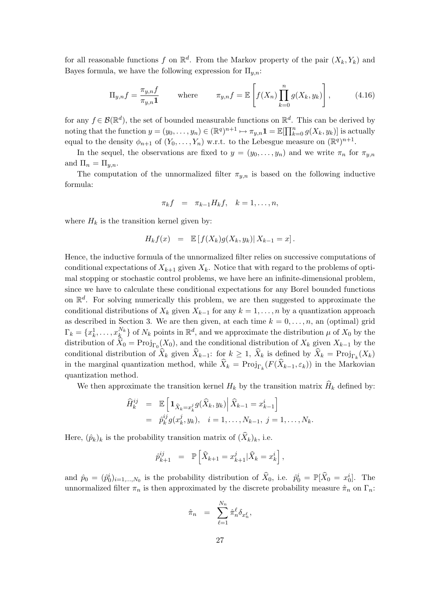for all reasonable functions f on  $\mathbb{R}^d$ . From the Markov property of the pair  $(X_k, Y_k)$  and Bayes formula, we have the following expression for  $\Pi_{u,n}$ :

$$
\Pi_{y,n}f = \frac{\pi_{y,n}f}{\pi_{y,n}\mathbf{1}} \quad \text{where} \quad \pi_{y,n}f = \mathbb{E}\left[f(X_n)\prod_{k=0}^n g(X_k, y_k)\right],\tag{4.16}
$$

for any  $f \in \mathcal{B}(\mathbb{R}^d)$ , the set of bounded measurable functions on  $\mathbb{R}^d$ . This can be derived by noting that the function  $y = (y_0, \ldots, y_n) \in (\mathbb{R}^q)^{n+1} \mapsto \pi_{y,n} \mathbf{1} = \mathbb{E}[\prod_k^n$  $_{k=0}^{n} g(X_{k}, y_{k})]$  is actually equal to the density  $\phi_{n+1}$  of  $(Y_0, \ldots, Y_n)$  w.r.t. to the Lebesgue measure on  $(\mathbb{R}^q)^{n+1}$ .

In the sequel, the observations are fixed to  $y = (y_0, \ldots, y_n)$  and we write  $\pi_n$  for  $\pi_{y,n}$ and  $\Pi_n = \Pi_{y,n}$ .

The computation of the unnormalized filter  $\pi_{y,n}$  is based on the following inductive formula:

$$
\pi_k f = \pi_{k-1} H_k f, \quad k = 1, \dots, n,
$$

where  $H_k$  is the transition kernel given by:

$$
H_k f(x) = \mathbb{E}\left[f(X_k)g(X_k, y_k)| X_{k-1} = x\right].
$$

Hence, the inductive formula of the unnormalized filter relies on successive computations of conditional expectations of  $X_{k+1}$  given  $X_k$ . Notice that with regard to the problems of optimal stopping or stochastic control problems, we have here an infinite-dimensional problem, since we have to calculate these conditional expectations for any Borel bounded functions on  $\mathbb{R}^d$ . For solving numerically this problem, we are then suggested to approximate the conditional distributions of  $X_k$  given  $X_{k-1}$  for any  $k = 1, \ldots, n$  by a quantization approach as described in Section 3. We are then given, at each time  $k = 0, \ldots, n$ , an (optimal) grid  $\Gamma_k = \{x_k^1, \ldots, x_k^{N_k}\}\$  of  $N_k$  points in  $\mathbb{R}^d$ , and we approximate the distribution  $\mu$  of  $X_0$  by the distribution of  $\hat{X}_0 = \text{Proj}_{\Gamma_0}(X_0)$ , and the conditional distribution of  $X_k$  given  $X_{k-1}$  by the conditional distribution of  $\widehat{X}_k$  given  $\widehat{X}_{k-1}$ : for  $k \geq 1$ ,  $\widehat{X}_k$  is defined by  $\widehat{X}_k = \text{Proj}_{\Gamma_k}(X_k)$ in the marginal quantization method, while  $\widehat{X}_k = \text{Proj}_{\Gamma_k}(F(\widehat{X}_{k-1}, \varepsilon_k))$  in the Markovian quantization method.

We then approximate the transition kernel  $H_k$  by the transition matrix  $\hat{H}_k$  defined by:

$$
\hat{H}_{k}^{ij} = \mathbb{E} \left[ \mathbf{1}_{\hat{X}_{k} = x_{k}^{j}} g(\hat{X}_{k}, y_{k}) \middle| \hat{X}_{k-1} = x_{k-1}^{i} \right]
$$
\n
$$
= \hat{p}_{k}^{ij} g(x_{k}^{j}, y_{k}), \quad i = 1, \dots, N_{k-1}, \ j = 1, \dots, N_{k}.
$$

Here,  $(\hat{p}_k)_k$  is the probability transition matrix of  $(\widehat{X}_k)_k$ , i.e.

$$
\hat{p}_{k+1}^{ij} = \mathbb{P}\left[\hat{X}_{k+1} = x_{k+1}^j | \hat{X}_k = x_k^i\right],
$$

and  $\hat{p}_0 = (\hat{p}_0^i)_{i=1,\dots,N_0}$  is the probability distribution of  $\hat{X}_0$ , i.e.  $\hat{p}_0^i = \mathbb{P}[\hat{X}_0 = x_0^i]$ . The unnormalized filter  $\pi_n$  is then approximated by the discrete probability measure  $\hat{\pi}_n$  on  $\Gamma_n$ :

$$
\hat{\pi}_n = \sum_{\ell=1}^{N_n} \hat{\pi}_n^{\ell} \delta_{x_n^{\ell}},
$$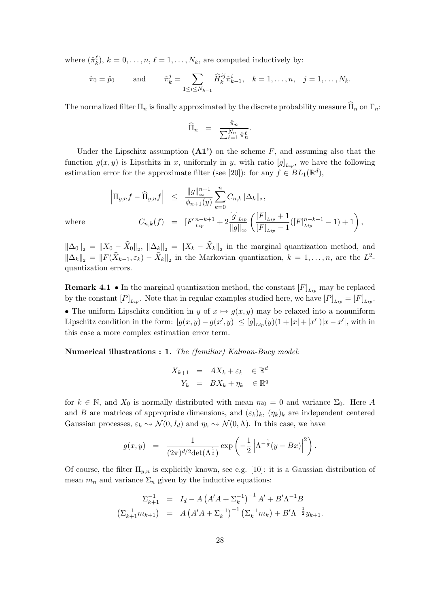where  $(\hat{\pi}_k^{\ell}), k = 0, \ldots, n, \ell = 1, \ldots, N_k$ , are computed inductively by:

$$
\hat{\pi}_0 = \hat{p}_0
$$
 and  $\hat{\pi}_k^j = \sum_{1 \le i \le N_{k-1}} \hat{H}_k^{ij} \hat{\pi}_{k-1}^i, \quad k = 1, ..., n, \quad j = 1, ..., N_k.$ 

The normalized filter  $\Pi_n$  is finally approximated by the discrete probability measure  $\widehat{\Pi}_n$  on  $\Gamma_n$ :

$$
\widehat{\Pi}_n = \frac{\widehat{\pi}_n}{\sum_{\ell=1}^{N_n} \widehat{\pi}_n^{\ell}}.
$$

Under the Lipschitz assumption  $(A1')$  on the scheme F, and assuming also that the function  $g(x, y)$  is Lipschitz in x, uniformly in y, with ratio  $[g]_{Lip}$ , we have the following estimation error for the approximate filter (see [20]): for any  $f \in BL_1(\mathbb{R}^d)$ ,

$$
\left|\Pi_{y,n}f - \widehat{\Pi}_{y,n}f\right| \leq \frac{\|g\|_{\infty}^{n+1}}{\phi_{n+1}(y)} \sum_{k=0}^{n} C_{n,k} \|\Delta_k\|_{2},
$$
  

$$
C_{n,k}(f) = [F]_{Lip}^{n-k+1} + 2 \frac{[g]_{Lip}}{\|g\|_{\infty}} \left(\frac{[F]_{Lip} + 1}{[F]_{Lip} - 1} ([F]_{Lip}^{n-k+1} - 1) + 1\right),
$$

where

 $\|\Delta_0\|_2 = \|X_0 - \widehat{X}_0\|_2$ ,  $\|\Delta_k\|_2 = \|X_k - \widehat{X}_k\|_2$  in the marginal quantization method, and  $\|\Delta_k\|_2 = \|F(\widehat{X}_{k-1}, \varepsilon_k) - \widehat{X}_k\|_2$  in the Markovian quantization,  $k = 1, \ldots, n$ , are the  $L^2$ quantization errors.

**Remark 4.1** • In the marginal quantization method, the constant  $[F]_{\text{Lin}}$  may be replaced by the constant  $[P]_{Lip}$ . Note that in regular examples studied here, we have  $[P]_{Lip} = [F]_{Lip}$ . • The uniform Lipschitz condition in y of  $x \mapsto g(x, y)$  may be relaxed into a nonuniform Lipschitz condition in the form:  $|g(x,y) - g(x',y)| \leq [g]_{Lip}(y)(1+|x|+|x'|)|x-x'|$ , with in this case a more complex estimation error term.

Numerical illustrations : 1. The (familiar) Kalman-Bucy model:

$$
X_{k+1} = AX_k + \varepsilon_k \in \mathbb{R}^d
$$
  

$$
Y_k = BX_k + \eta_k \in \mathbb{R}^q
$$

for  $k \in \mathbb{N}$ , and  $X_0$  is normally distributed with mean  $m_0 = 0$  and variance  $\Sigma_0$ . Here A and B are matrices of appropriate dimensions, and  $(\varepsilon_k)_k$ ,  $(\eta_k)_k$  are independent centered Gaussian processes,  $\varepsilon_k \sim \mathcal{N}(0, I_d)$  and  $\eta_k \sim \mathcal{N}(0, \Lambda)$ . In this case, we have

$$
g(x,y) \;\; = \;\; \frac{1}{(2\pi)^{d/2} {\rm det}(\Lambda^{\frac{1}{2}})} \exp\left(-\frac{1}{2}\left|\Lambda^{-\frac{1}{2}}(y-Bx)\right|^2\right).
$$

Of course, the filter  $\Pi_{y,n}$  is explicitly known, see e.g. [10]: it is a Gaussian distribution of mean  $m_n$  and variance  $\Sigma_n$  given by the inductive equations:

$$
\Sigma_{k+1}^{-1} = I_d - A \left( A' A + \Sigma_k^{-1} \right)^{-1} A' + B' \Lambda^{-1} B
$$
  

$$
\left( \Sigma_{k+1}^{-1} m_{k+1} \right) = A \left( A' A + \Sigma_k^{-1} \right)^{-1} \left( \Sigma_k^{-1} m_k \right) + B' \Lambda^{-\frac{1}{2}} y_{k+1}.
$$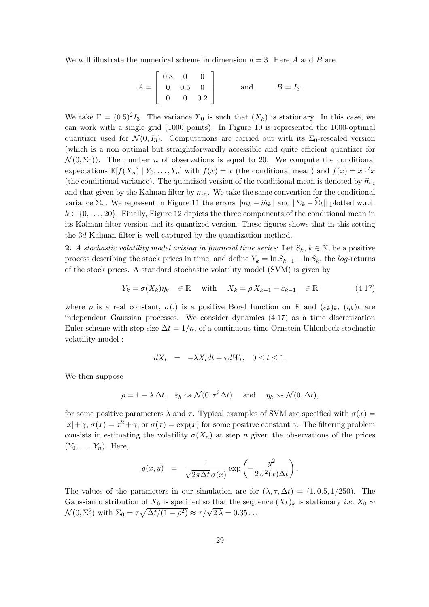We will illustrate the numerical scheme in dimension  $d = 3$ . Here A and B are

$$
A = \begin{bmatrix} 0.8 & 0 & 0 \\ 0 & 0.5 & 0 \\ 0 & 0 & 0.2 \end{bmatrix} \quad \text{and} \quad B = I_3.
$$

We take  $\Gamma = (0.5)^2 I_3$ . The variance  $\Sigma_0$  is such that  $(X_k)$  is stationary. In this case, we can work with a single grid (1000 points). In Figure 10 is represented the 1000-optimal quantizer used for  $\mathcal{N}(0, I_3)$ . Computations are carried out with its  $\Sigma_0$ -rescaled version (which is a non optimal but straightforwardly accessible and quite efficient quantizer for  $\mathcal{N}(0, \Sigma_0)$ . The number *n* of observations is equal to 20. We compute the conditional expectations  $\mathbb{E}[f(X_n) | Y_0, \ldots, Y_n]$  with  $f(x) = x$  (the conditional mean) and  $f(x) = x \cdot {}^t x$ (the conditional variance). The quantized version of the conditional mean is denoted by  $\hat{m}_n$ and that given by the Kalman filter by  $m_n$ . We take the same convention for the conditional variance  $\Sigma_n$ . We represent in Figure 11 the errors  $\|m_k - \hat{m}_k\|$  and  $\|\Sigma_k - \hat{\Sigma}_k\|$  plotted w.r.t.  $k \in \{0, \ldots, 20\}$ . Finally, Figure 12 depicts the three components of the conditional mean in its Kalman filter version and its quantized version. These figures shows that in this setting the 3d Kalman filter is well captured by the quantization method.

2. A stochastic volatility model arising in financial time series: Let  $S_k, k \in \mathbb{N}$ , be a positive process describing the stock prices in time, and define  $Y_k = \ln S_{k+1} - \ln S_k$ , the log-returns of the stock prices. A standard stochastic volatility model (SVM) is given by

$$
Y_k = \sigma(X_k)\eta_k \in \mathbb{R} \quad \text{with} \quad X_k = \rho X_{k-1} + \varepsilon_{k-1} \in \mathbb{R} \tag{4.17}
$$

where  $\rho$  is a real constant,  $\sigma(.)$  is a positive Borel function on R and  $(\varepsilon_k)_k$ ,  $(\eta_k)_k$  are independent Gaussian processes. We consider dynamics (4.17) as a time discretization Euler scheme with step size  $\Delta t = 1/n$ , of a continuous-time Ornstein-Uhlenbeck stochastic volatility model :

$$
dX_t = -\lambda X_t dt + \tau dW_t, \quad 0 \le t \le 1.
$$

We then suppose

$$
\rho = 1 - \lambda \Delta t, \quad \varepsilon_k \sim \mathcal{N}(0, \tau^2 \Delta t) \quad \text{and} \quad \eta_k \sim \mathcal{N}(0, \Delta t),
$$

for some positive parameters  $\lambda$  and  $\tau$ . Typical examples of SVM are specified with  $\sigma(x)$  =  $|x| + \gamma$ ,  $\sigma(x) = x^2 + \gamma$ , or  $\sigma(x) = \exp(x)$  for some positive constant  $\gamma$ . The filtering problem consists in estimating the volatility  $\sigma(X_n)$  at step n given the observations of the prices  $(Y_0, \ldots, Y_n)$ . Here,

$$
g(x,y) = \frac{1}{\sqrt{2\pi\Delta t} \,\sigma(x)} \exp\left(-\frac{y^2}{2\,\sigma^2(x)\Delta t}\right).
$$

The values of the parameters in our simulation are for  $(\lambda, \tau, \Delta t) = (1, 0.5, 1/250)$ . The Gaussian distribution of  $X_0$  is specified so that the sequence  $(X_k)_k$  is stationary *i.e.*  $X_0 \sim$ Gaussian distribution of  $\chi_0$  is specified so that the sequence of  $\mathcal{N}(0, \Sigma_0^2)$  with  $\Sigma_0 = \tau \sqrt{\Delta t/(1-\rho^2)} \approx \tau/\sqrt{2\lambda} = 0.35...$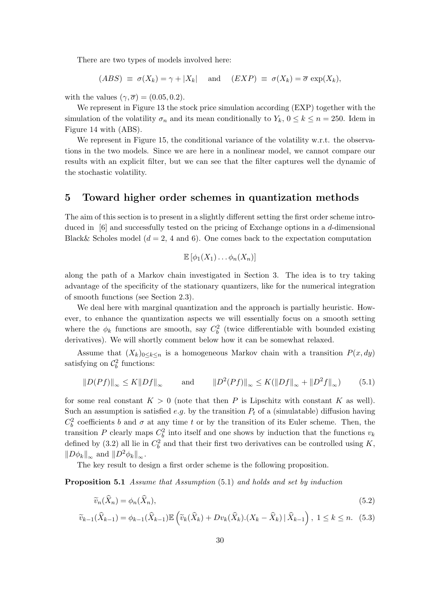There are two types of models involved here:

$$
(ABS) \equiv \sigma(X_k) = \gamma + |X_k|
$$
 and  $(EXP) \equiv \sigma(X_k) = \overline{\sigma} \exp(X_k)$ ,

with the values  $(\gamma, \overline{\sigma}) = (0.05, 0.2)$ .

We represent in Figure 13 the stock price simulation according (EXP) together with the simulation of the volatility  $\sigma_n$  and its mean conditionally to  $Y_k$ ,  $0 \le k \le n = 250$ . Idem in Figure 14 with (ABS).

We represent in Figure 15, the conditional variance of the volatility w.r.t. the observations in the two models. Since we are here in a nonlinear model, we cannot compare our results with an explicit filter, but we can see that the filter captures well the dynamic of the stochastic volatility.

# 5 Toward higher order schemes in quantization methods

The aim of this section is to present in a slightly different setting the first order scheme introduced in [6] and successfully tested on the pricing of Exchange options in a d-dimensional Black& Scholes model  $(d = 2, 4 \text{ and } 6)$ . One comes back to the expectation computation

$$
\mathbb{E}\left[\phi_1(X_1)\dots\phi_n(X_n)\right]
$$

along the path of a Markov chain investigated in Section 3. The idea is to try taking advantage of the specificity of the stationary quantizers, like for the numerical integration of smooth functions (see Section 2.3).

We deal here with marginal quantization and the approach is partially heuristic. However, to enhance the quantization aspects we will essentially focus on a smooth setting where the  $\phi_k$  functions are smooth, say  $C_b^2$  (twice differentiable with bounded existing derivatives). We will shortly comment below how it can be somewhat relaxed.

Assume that  $(X_k)_{0\leq k\leq n}$  is a homogeneous Markov chain with a transition  $P(x, dy)$ satisfying on  $\mathcal{C}_b^2$  functions:

$$
||D(Pf)||_{\infty} \le K||Df||_{\infty} \quad \text{and} \quad ||D^{2}(Pf)||_{\infty} \le K(||Df||_{\infty} + ||D^{2}f||_{\infty}) \quad (5.1)
$$

for some real constant  $K > 0$  (note that then P is Lipschitz with constant K as well). Such an assumption is satisfied e.g. by the transition  $P_t$  of a (simulatable) diffusion having  $C_b^2$  coefficients b and  $\sigma$  at any time t or by the transition of its Euler scheme. Then, the transition P clearly maps  $C_b^2$  into itself and one shows by induction that the functions  $v_k$ defined by (3.2) all lie in  $C_b^2$  and that their first two derivatives can be controlled using K,  $\|D\phi_k\|_{\infty}$  and  $\|D^2\phi_k\|_{\infty}$ .

The key result to design a first order scheme is the following proposition.

Proposition 5.1 Assume that Assumption (5.1) and holds and set by induction

$$
\widetilde{v}_n(\widehat{X}_n) = \phi_n(\widehat{X}_n),\tag{5.2}
$$

$$
\widetilde{v}_{k-1}(\widehat{X}_{k-1}) = \phi_{k-1}(\widehat{X}_{k-1}) \mathbb{E}\left(\widetilde{v}_k(\widehat{X}_k) + Dv_k(\widehat{X}_k) \cdot (X_k - \widehat{X}_k) \,|\, \widehat{X}_{k-1}\right), \ 1 \le k \le n. \tag{5.3}
$$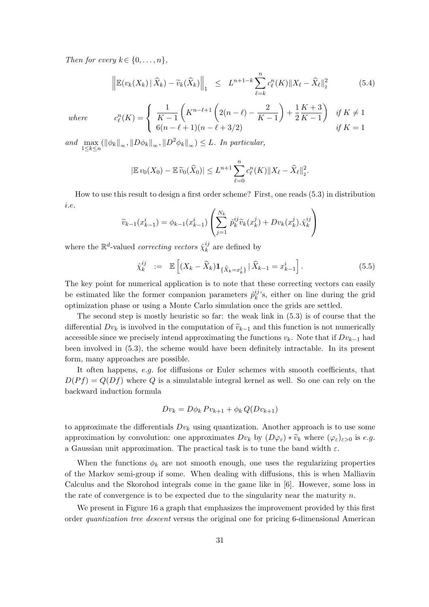Then for every  $k \in \{0, \ldots, n\},\$ 

$$
\left\| \mathbb{E}(v_k(X_k) \mid \widehat{X}_k) - \widetilde{v}_k(\widehat{X}_k) \right\|_1 \leq L^{n+1-k} \sum_{\ell=k}^n c_{\ell}^n(K) \|X_{\ell} - \widehat{X}_{\ell}\|_2^2 \tag{5.4}
$$

 $where$ 

$$
c_{\ell}^{n}(K) = \begin{cases} \frac{1}{K-1} \left( K^{n-\ell+1} \left( 2(n-\ell) - \frac{2}{K-1} \right) + \frac{1}{2K-1} \right) & \text{if } K \neq 1\\ 6(n-\ell+1)(n-\ell+3/2) & \text{if } K = 1 \end{cases}
$$

and  $\max_{1 \leq k \leq n} (\|\phi_k\|_{\infty}, \|D\phi_k\|_{\infty}, \|D^2\phi_k\|_{\infty}) \leq L$ . In particular,

$$
|\mathbb{E} v_0(X_0) - \mathbb{E} \widetilde{v}_0(\widehat{X}_0)| \leq L^{n+1} \sum_{\ell=0}^n c_{\ell}^n(K) \|X_{\ell} - \widehat{X}_{\ell}\|_2^2.
$$

How to use this result to design a first order scheme? First, one reads (5.3) in distribution i.e.  $\overline{1}$  $\mathbf{r}$ 

$$
\widetilde{v}_{k-1}(x_{k-1}^i) = \phi_{k-1}(x_{k-1}^i) \left( \sum_{j=1}^{N_k} \hat{p}_k^{ij} \widetilde{v}_k(x_k^j) + Dv_k(x_k^j) \cdot \hat{\chi}_k^{ij} \right)
$$

where the  $\mathbb{R}^d$ -valued *correcting vectors*  $\hat{\chi}_k^{ij}$  $\frac{y}{k}$  are defined by

$$
\hat{\chi}_{k}^{ij} := \mathbb{E}\left[ (X_k - \widehat{X}_k) \mathbf{1}_{\{\widehat{X}_k = x_k^j\}} \,|\, \widehat{X}_{k-1} = x_{k-1}^i \right]. \tag{5.5}
$$

The key point for numerical application is to note that these correcting vectors can easily be estimated like the former companion parameters  $\hat{p}_{k}^{ij}$  $\binom{y}{k}$ 's, either on line during the grid optimization phase or using a Monte Carlo simulation once the grids are settled.

The second step is mostly heuristic so far: the weak link in (5.3) is of course that the differential  $Dv_k$  is involved in the computation of  $\tilde{v}_{k-1}$  and this function is not numerically accessible since we precisely intend approximating the functions  $v_k$ . Note that if  $Dv_{k-1}$  had been involved in (5.3), the scheme would have been definitely intractable. In its present form, many approaches are possible.

It often happens, e.g. for diffusions or Euler schemes with smooth coefficients, that  $D(Pf) = Q(Df)$  where Q is a simulatable integral kernel as well. So one can rely on the backward induction formula

$$
Dv_k = D\phi_k P v_{k+1} + \phi_k Q(Dv_{k+1})
$$

to approximate the differentials  $Dv_k$  using quantization. Another approach is to use some approximation by convolution: one approximates  $Dv_k$  by  $(D\varphi_{\varepsilon}) * \widetilde{v}_k$  where  $(\varphi_{\varepsilon})_{\varepsilon>0}$  is e.g. a Gaussian unit approximation. The practical task is to tune the band width  $\varepsilon$ .

When the functions  $\phi_k$  are not smooth enough, one uses the regularizing properties of the Markov semi-group if some. When dealing with diffusions, this is when Malliavin Calculus and the Skorohod integrals come in the game like in [6]. However, some loss in the rate of convergence is to be expected due to the singularity near the maturity  $n$ .

We present in Figure 16 a graph that emphasizes the improvement provided by this first order quantization tree descent versus the original one for pricing 6-dimensional American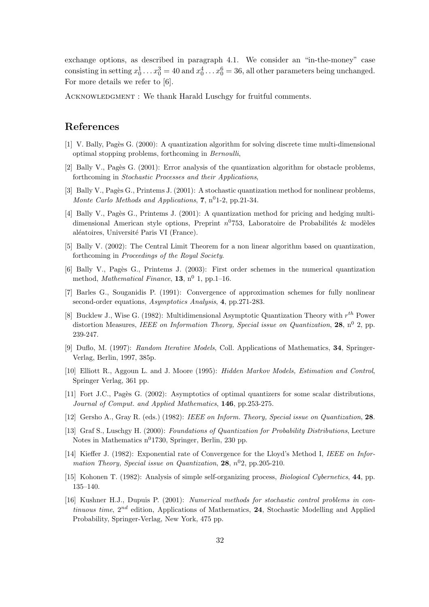exchange options, as described in paragraph 4.1. We consider an "in-the-money" case consisting in setting  $x_0^1 \dots x_0^3 = 40$  and  $x_0^4 \dots x_0^6 = 36$ , all other parameters being unchanged. For more details we refer to [6].

ACKNOWLEDGMENT : We thank Harald Luschgy for fruitful comments.

# References

- [1] V. Bally, Pag`es G. (2000): A quantization algorithm for solving discrete time multi-dimensional optimal stopping problems, forthcoming in Bernoulli,
- [2] Bally V., Pagès G. (2001): Error analysis of the quantization algorithm for obstacle problems, forthcoming in Stochastic Processes and their Applications,
- [3] Bally V., Pagès G., Printems J. (2001): A stochastic quantization method for nonlinear problems, Monte Carlo Methods and Applications, 7,  $n^0$ 1-2, pp.21-34.
- [4] Bally V., Pagès G., Printems J. (2001): A quantization method for pricing and hedging multidimensional American style options, Preprint  $n^{0}$ 753, Laboratoire de Probabilités & modèles aléatoires, Université Paris VI (France).
- [5] Bally V. (2002): The Central Limit Theorem for a non linear algorithm based on quantization, forthcoming in Proceedings of the Royal Society.
- [6] Bally V., Pagès G., Printems J. (2003): First order schemes in the numerical quantization method, *Mathematical Finance*, **13**,  $n^0$  **1**, pp.1-16.
- [7] Barles G., Souganidis P. (1991): Convergence of approximation schemes for fully nonlinear second-order equations, Asymptotics Analysis, 4, pp.271-283.
- [8] Bucklew J., Wise G. (1982): Multidimensional Asymptotic Quantization Theory with  $r^{th}$  Power distortion Measures, IEEE on Information Theory, Special issue on Quantization, 28,  $n^0$  2, pp. 239-247.
- [9] Duflo, M. (1997): Random Iterative Models, Coll. Applications of Mathematics, 34, Springer-Verlag, Berlin, 1997, 385p.
- [10] Elliott R., Aggoun L. and J. Moore (1995): Hidden Markov Models, Estimation and Control, Springer Verlag, 361 pp.
- [11] Fort J.C., Pagès G. (2002): Asymptotics of optimal quantizers for some scalar distributions, Journal of Comput. and Applied Mathematics, 146, pp.253-275.
- [12] Gersho A., Gray R. (eds.) (1982): IEEE on Inform. Theory, Special issue on Quantization, 28.
- [13] Graf S., Luschgy H. (2000): Foundations of Quantization for Probability Distributions, Lecture Notes in Mathematics  $n^0$ 1730, Springer, Berlin, 230 pp.
- [14] Kieffer J. (1982): Exponential rate of Convergence for the Lloyd's Method I, IEEE on Information Theory, Special issue on Quantization,  $28$ ,  $n^02$ , pp. 205-210.
- [15] Kohonen T. (1982): Analysis of simple self-organizing process, Biological Cybernetics, 44, pp. 135–140.
- [16] Kushner H.J., Dupuis P. (2001): Numerical methods for stochastic control problems in continuous time,  $2^{nd}$  edition, Applications of Mathematics, 24, Stochastic Modelling and Applied Probability, Springer-Verlag, New York, 475 pp.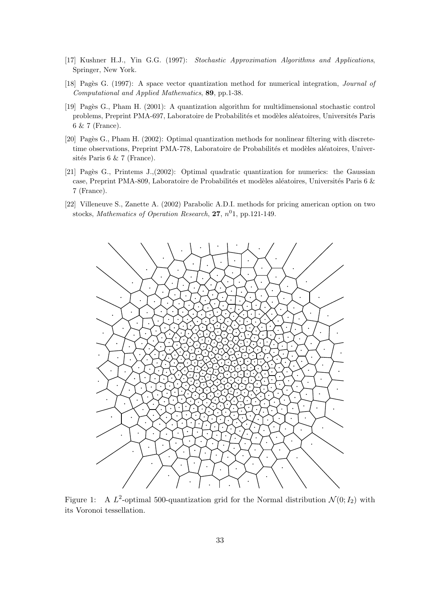- [17] Kushner H.J., Yin G.G. (1997): Stochastic Approximation Algorithms and Applications, Springer, New York.
- [18] Pagès G. (1997): A space vector quantization method for numerical integration, *Journal of* Computational and Applied Mathematics, 89, pp.1-38.
- [19] Pag`es G., Pham H. (2001): A quantization algorithm for multidimensional stochastic control problems, Preprint PMA-697, Laboratoire de Probabilités et modèles aléatoires, Universités Paris 6 & 7 (France).
- [20] Pagès G., Pham H. (2002): Optimal quantization methods for nonlinear filtering with discretetime observations, Preprint PMA-778, Laboratoire de Probabilités et modèles aléatoires, Universités Paris 6  $& 7$  (France).
- [21] Pagès G., Printems J., $(2002)$ : Optimal quadratic quantization for numerics: the Gaussian case, Preprint PMA-809, Laboratoire de Probabilités et modèles aléatoires, Universités Paris 6 & 7 (France).
- [22] Villeneuve S., Zanette A. (2002) Parabolic A.D.I. methods for pricing american option on two stocks, Mathematics of Operation Research, 27,  $n^01$ , pp.121-149.



Figure 1: A  $L^2$ -optimal 500-quantization grid for the Normal distribution  $\mathcal{N}(0; I_2)$  with its Voronoi tessellation.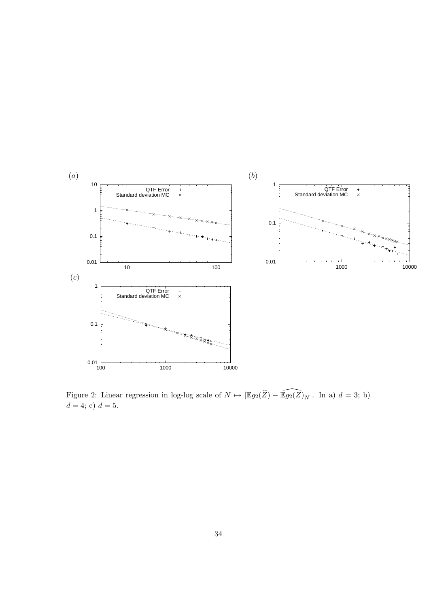

Figure 2: Linear regression in log-log scale of  $N \mapsto |\mathbb{E}g_2(\widehat{Z}) - \widehat{\mathbb{E}g_2(Z)}_N|$ . In a)  $d = 3$ ; b)  $d = 4; c$   $d = 5.$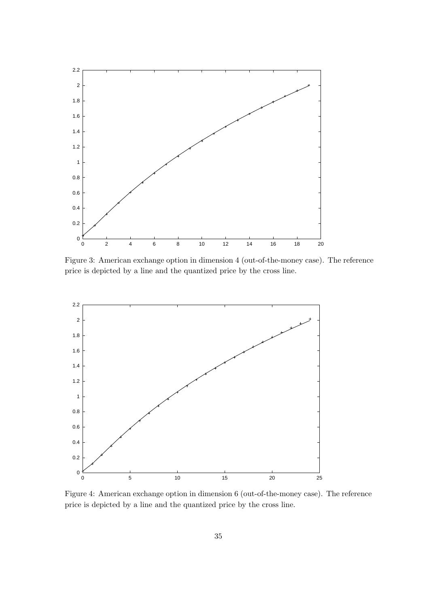

Figure 3: American exchange option in dimension 4 (out-of-the-money case). The reference price is depicted by a line and the quantized price by the cross line.



Figure 4: American exchange option in dimension 6 (out-of-the-money case). The reference price is depicted by a line and the quantized price by the cross line.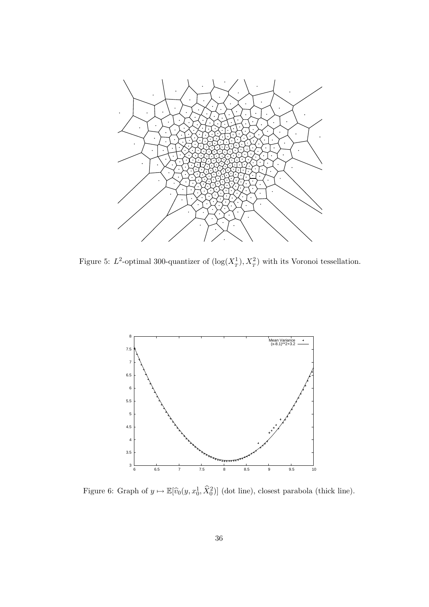

Figure 5:  $L^2$ -optimal 300-quantizer of  $(\log(X_T^1), X_T^2)$  with its Voronoi tessellation.



Figure 6: Graph of  $y \mapsto \mathbb{E}[\widehat{v}_0(y, x_0^1, \widehat{X}_0^2)]$  (dot line), closest parabola (thick line).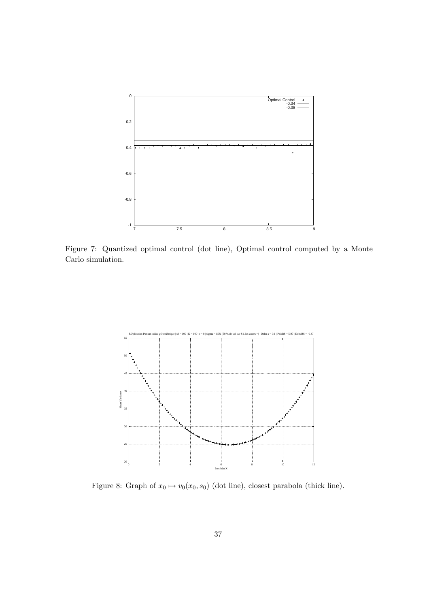

Figure 7: Quantized optimal control (dot line), Optimal control computed by a Monte Carlo simulation.



Figure 8: Graph of  $x_0 \mapsto v_0(x_0, s_0)$  (dot line), closest parabola (thick line).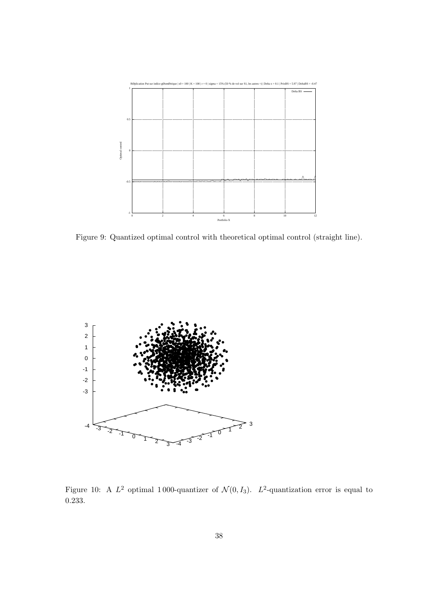

Figure 9: Quantized optimal control with theoretical optimal control (straight line).



Figure 10: A  $L^2$  optimal 1000-quantizer of  $\mathcal{N}(0, I_3)$ .  $L^2$ -quantization error is equal to 0.233.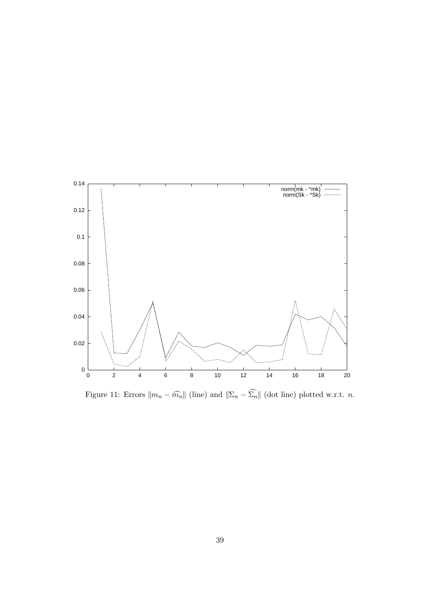

Figure 11: Errors  $\|m_n - \widehat{m_n}\|$  (line) and  $\|\Sigma_n - \widehat{\Sigma_n}\|$  (dot line) plotted w.r.t. *n*.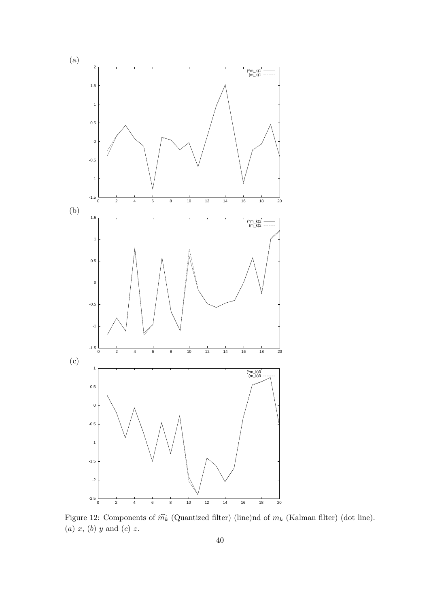

Figure 12: Components of  $\widehat{m_k}$  (Quantized filter) (line)nd of  $m_k$  (Kalman filter) (dot line). (a)  $x$ , (b)  $y$  and (c)  $z$ .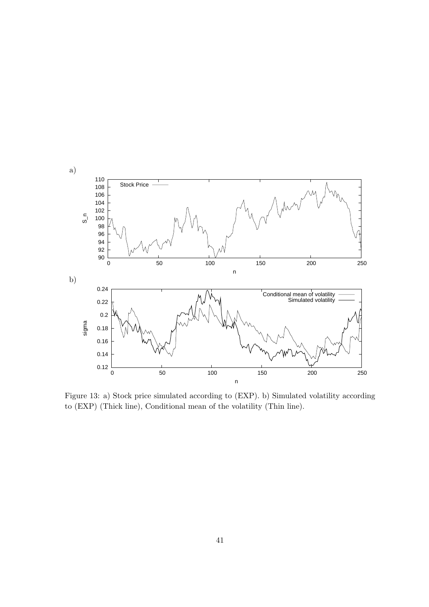

Figure 13: a) Stock price simulated according to (EXP). b) Simulated volatility according to (EXP) (Thick line), Conditional mean of the volatility (Thin line).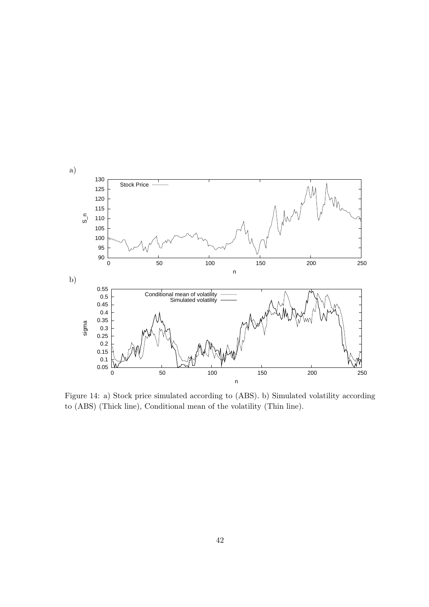

Figure 14: a) Stock price simulated according to (ABS). b) Simulated volatility according to (ABS) (Thick line), Conditional mean of the volatility (Thin line).